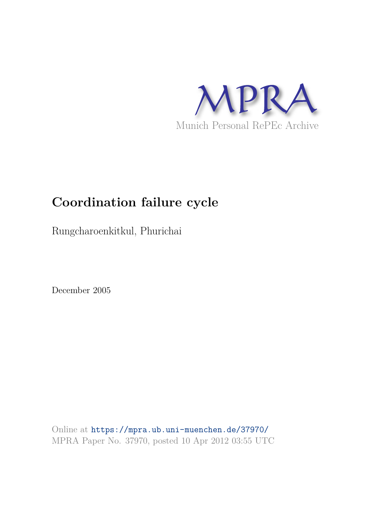

# **Coordination failure cycle**

Rungcharoenkitkul, Phurichai

December 2005

Online at https://mpra.ub.uni-muenchen.de/37970/ MPRA Paper No. 37970, posted 10 Apr 2012 03:55 UTC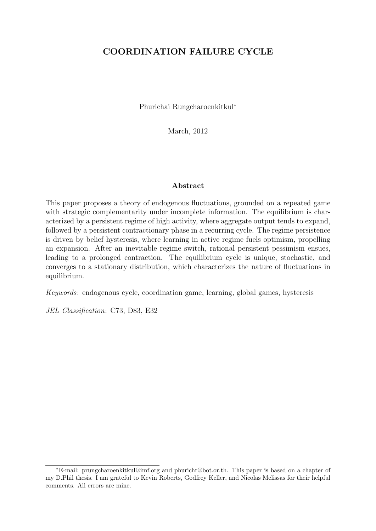### COORDINATION FAILURE CYCLE

Phurichai Rungcharoenkitkul<sup>∗</sup>

March, 2012

#### Abstract

This paper proposes a theory of endogenous fluctuations, grounded on a repeated game with strategic complementarity under incomplete information. The equilibrium is characterized by a persistent regime of high activity, where aggregate output tends to expand, followed by a persistent contractionary phase in a recurring cycle. The regime persistence is driven by belief hysteresis, where learning in active regime fuels optimism, propelling an expansion. After an inevitable regime switch, rational persistent pessimism ensues, leading to a prolonged contraction. The equilibrium cycle is unique, stochastic, and converges to a stationary distribution, which characterizes the nature of fluctuations in equilibrium.

Keywords: endogenous cycle, coordination game, learning, global games, hysteresis

JEL Classification: C73, D83, E32

<sup>∗</sup>E-mail: prungcharoenkitkul@imf.org and phurichr@bot.or.th. This paper is based on a chapter of my D.Phil thesis. I am grateful to Kevin Roberts, Godfrey Keller, and Nicolas Melissas for their helpful comments. All errors are mine.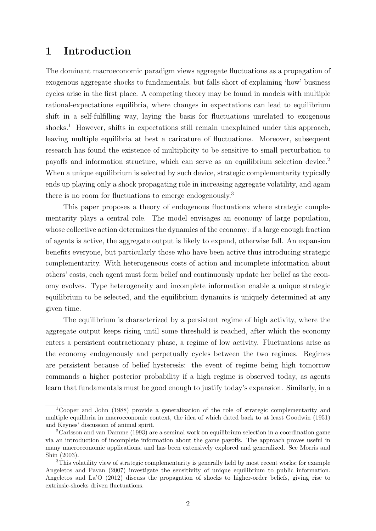### 1 Introduction

The dominant macroeconomic paradigm views aggregate fluctuations as a propagation of exogenous aggregate shocks to fundamentals, but falls short of explaining 'how' business cycles arise in the first place. A competing theory may be found in models with multiple rational-expectations equilibria, where changes in expectations can lead to equilibrium shift in a self-fulfilling way, laying the basis for fluctuations unrelated to exogenous shocks.<sup>1</sup> However, shifts in expectations still remain unexplained under this approach, leaving multiple equilibria at best a caricature of fluctuations. Moreover, subsequent research has found the existence of multiplicity to be sensitive to small perturbation to payoffs and information structure, which can serve as an equilibrium selection device.<sup>2</sup> When a unique equilibrium is selected by such device, strategic complementarity typically ends up playing only a shock propagating role in increasing aggregate volatility, and again there is no room for fluctuations to emerge endogenously.<sup>3</sup>

This paper proposes a theory of endogenous fluctuations where strategic complementarity plays a central role. The model envisages an economy of large population, whose collective action determines the dynamics of the economy: if a large enough fraction of agents is active, the aggregate output is likely to expand, otherwise fall. An expansion benefits everyone, but particularly those who have been active thus introducing strategic complementarity. With heterogeneous costs of action and incomplete information about others' costs, each agent must form belief and continuously update her belief as the economy evolves. Type heterogeneity and incomplete information enable a unique strategic equilibrium to be selected, and the equilibrium dynamics is uniquely determined at any given time.

The equilibrium is characterized by a persistent regime of high activity, where the aggregate output keeps rising until some threshold is reached, after which the economy enters a persistent contractionary phase, a regime of low activity. Fluctuations arise as the economy endogenously and perpetually cycles between the two regimes. Regimes are persistent because of belief hysteresis: the event of regime being high tomorrow commands a higher posterior probability if a high regime is observed today, as agents learn that fundamentals must be good enough to justify today's expansion. Similarly, in a

<sup>1</sup>Cooper and John (1988) provide a generalization of the role of strategic complementarity and multiple equilibria in macroeconomic context, the idea of which dated back to at least Goodwin (1951) and Keynes' discussion of animal spirit.

<sup>2</sup>Carlsson and van Damme (1993) are a seminal work on equilibrium selection in a coordination game via an introduction of incomplete information about the game payoffs. The approach proves useful in many macroeconomic applications, and has been extensively explored and generalized. See Morris and Shin (2003).

<sup>3</sup>This volatility view of strategic complementarity is generally held by most recent works; for example Angeletos and Pavan (2007) investigate the sensitivity of unique equilibrium to public information. Angeletos and La'O (2012) discuss the propagation of shocks to higher-order beliefs, giving rise to extrinsic-shocks driven fluctuations.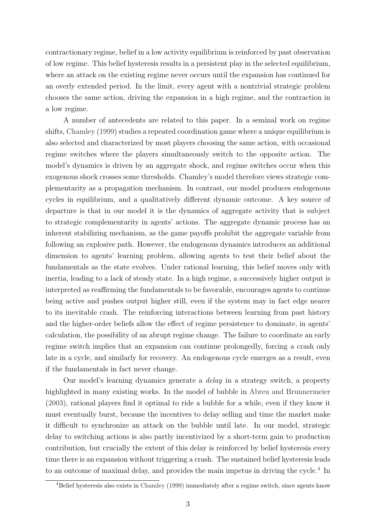contractionary regime, belief in a low activity equilibrium is reinforced by past observation of low regime. This belief hysteresis results in a persistent play in the selected equilibrium, where an attack on the existing regime never occurs until the expansion has continued for an overly extended period. In the limit, every agent with a nontrivial strategic problem chooses the same action, driving the expansion in a high regime, and the contraction in a low regime.

A number of antecedents are related to this paper. In a seminal work on regime shifts, Chamley (1999) studies a repeated coordination game where a unique equilibrium is also selected and characterized by most players choosing the same action, with occasional regime switches where the players simultaneously switch to the opposite action. The model's dynamics is driven by an aggregate shock, and regime switches occur when this exogenous shock crosses some thresholds. Chamley's model therefore views strategic complementarity as a propagation mechanism. In contrast, our model produces endogenous cycles in equilibrium, and a qualitatively different dynamic outcome. A key source of departure is that in our model it is the dynamics of aggregate activity that is subject to strategic complementarity in agents' actions. The aggregate dynamic process has an inherent stabilizing mechanism, as the game payoffs prohibit the aggregate variable from following an explosive path. However, the endogenous dynamics introduces an additional dimension to agents' learning problem, allowing agents to test their belief about the fundamentals as the state evolves. Under rational learning, this belief moves only with inertia, leading to a lack of steady state. In a high regime, a successively higher output is interpreted as reaffirming the fundamentals to be favorable, encourages agents to continue being active and pushes output higher still, even if the system may in fact edge nearer to its inevitable crash. The reinforcing interactions between learning from past history and the higher-order beliefs allow the effect of regime persistence to dominate, in agents' calculation, the possibility of an abrupt regime change. The failure to coordinate an early regime switch implies that an expansion can continue prolongedly, forcing a crash only late in a cycle, and similarly for recovery. An endogenous cycle emerges as a result, even if the fundamentals in fact never change.

Our model's learning dynamics generate a delay in a strategy switch, a property highlighted in many existing works. In the model of bubble in Abreu and Brunnermeier (2003), rational players find it optimal to ride a bubble for a while, even if they know it must eventually burst, because the incentives to delay selling and time the market make it difficult to synchronize an attack on the bubble until late. In our model, strategic delay to switching actions is also partly incentivized by a short-term gain to production contribution, but crucially the extent of this delay is reinforced by belief hysteresis every time there is an expansion without triggering a crash. The sustained belief hysteresis leads to an outcome of maximal delay, and provides the main impetus in driving the cycle.<sup>4</sup> In

<sup>4</sup>Belief hysteresis also exists in Chamley (1999) immediately after a regime switch, since agents know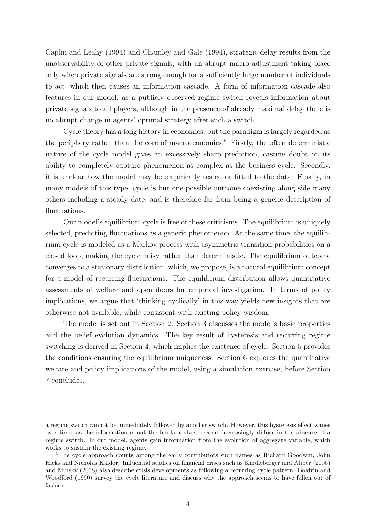Caplin and Leahy (1994) and Chamley and Gale (1994), strategic delay results from the unobservability of other private signals, with an abrupt macro adjustment taking place only when private signals are strong enough for a sufficiently large number of individuals to act, which then causes an information cascade. A form of information cascade also features in our model, as a publicly observed regime switch reveals information about private signals to all players, although in the presence of already maximal delay there is no abrupt change in agents' optimal strategy after such a switch.

Cycle theory has a long history in economics, but the paradigm is largely regarded as the periphery rather than the core of macroeconomics.<sup>5</sup> Firstly, the often deterministic nature of the cycle model gives an excessively sharp prediction, casting doubt on its ability to completely capture phenomenon as complex as the business cycle. Secondly, it is unclear how the model may be empirically tested or fitted to the data. Finally, in many models of this type, cycle is but one possible outcome coexisting along side many others including a steady date, and is therefore far from being a generic description of fluctuations.

Our model's equilibrium cycle is free of these criticisms. The equilibrium is uniquely selected, predicting fluctuations as a generic phenomenon. At the same time, the equilibrium cycle is modeled as a Markov process with asymmetric transition probabilities on a closed loop, making the cycle noisy rather than deterministic. The equilibrium outcome converges to a stationary distribution, which, we propose, is a natural equilibrium concept for a model of recurring fluctuations. The equilibrium distribution allows quantitative assessments of welfare and open doors for empirical investigation. In terms of policy implications, we argue that 'thinking cyclically' in this way yields new insights that are otherwise not available, while consistent with existing policy wisdom.

The model is set out in Section 2. Section 3 discusses the model's basic properties and the belief evolution dynamics. The key result of hysteresis and recurring regime switching is derived in Section 4, which implies the existence of cycle. Section 5 provides the conditions ensuring the equilibrium uniqueness. Section 6 explores the quantitative welfare and policy implications of the model, using a simulation exercise, before Section 7 concludes.

a regime switch cannot be immediately followed by another switch. However, this hysteresis effect wanes over time, as the information about the fundamentals become increasingly diffuse in the absence of a regime switch. In our model, agents gain information from the evolution of aggregate variable, which works to sustain the existing regime.

<sup>&</sup>lt;sup>5</sup>The cycle approach counts among the early contributors such names as Richard Goodwin, John Hicks and Nicholas Kaldor. Influential studies on financial crises such as Kindleberger and Aliber (2005) and Minsky (2008) also describe crisis developments as following a recurring cycle pattern. Boldrin and Woodford (1990) survey the cycle literature and discuss why the approach seems to have fallen out of fashion.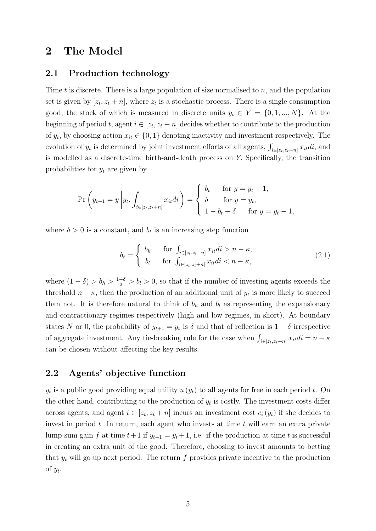### 2 The Model

#### 2.1 Production technology

Time t is discrete. There is a large population of size normalised to  $n$ , and the population set is given by  $[z_t, z_t + n]$ , where  $z_t$  is a stochastic process. There is a single consumption good, the stock of which is measured in discrete units  $y_t \in Y = \{0, 1, ..., N\}$ . At the beginning of period t, agent  $i \in [z_t, z_t + n]$  decides whether to contribute to the production of  $y_t$ , by choosing action  $x_{it} \in \{0, 1\}$  denoting inactivity and investment respectively. The evolution of  $y_t$  is determined by joint investment efforts of all agents,  $\int_{i \in [z_t, z_t+n]} x_{it} di$ , and is modelled as a discrete-time birth-and-death process on Y. Specifically, the transition probabilities for  $y_t$  are given by

$$
\Pr\left(y_{t+1} = y \middle| y_t, \int_{i \in [z_t, z_t + n]} x_{it} dt\right) = \begin{cases} b_t & \text{for } y = y_t + 1, \\ \delta & \text{for } y = y_t, \\ 1 - b_t - \delta & \text{for } y = y_t - 1, \end{cases}
$$

where  $\delta > 0$  is a constant, and  $b_t$  is an increasing step function

$$
b_t = \begin{cases} b_h & \text{for } \int_{i \in [z_t, z_t + n]} x_{it} \, di > n - \kappa, \\ b_l & \text{for } \int_{i \in [z_t, z_t + n]} x_{it} \, di < n - \kappa, \end{cases} \tag{2.1}
$$

where  $(1 - \delta) > b_h > \frac{1 - \delta}{2} > b_l > 0$ , so that if the number of investing agents exceeds the threshold  $n - \kappa$ , then the production of an additional unit of  $y_t$  is more likely to succeed than not. It is therefore natural to think of  $b_h$  and  $b_l$  as representing the expansionary and contractionary regimes respectively (high and low regimes, in short). At boundary states N or 0, the probability of  $y_{t+1} = y_t$  is  $\delta$  and that of reflection is  $1 - \delta$  irrespective of aggregate investment. Any tie-breaking rule for the case when  $\int_{i\in[z_t,z_t+n]} x_{it} di = n - \kappa$ can be chosen without affecting the key results.

### 2.2 Agents' objective function

 $y_t$  is a public good providing equal utility  $u(y_t)$  to all agents for free in each period t. On the other hand, contributing to the production of  $y_t$  is costly. The investment costs differ across agents, and agent  $i \in [z_t, z_t + n]$  incurs an investment cost  $c_i(y_t)$  if she decides to invest in period  $t$ . In return, each agent who invests at time  $t$  will earn an extra private lump-sum gain f at time  $t+1$  if  $y_{t+1} = y_t + 1$ , i.e. if the production at time t is successful in creating an extra unit of the good. Therefore, choosing to invest amounts to betting that  $y_t$  will go up next period. The return f provides private incentive to the production of  $y_t$ .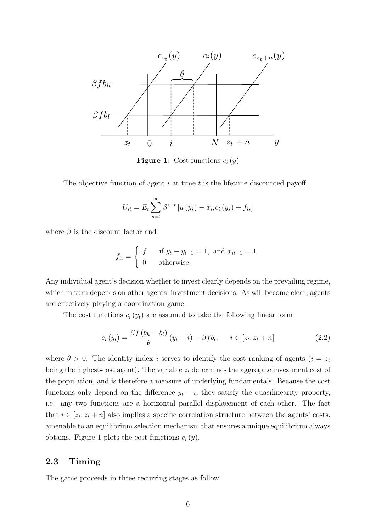

**Figure 1:** Cost functions  $c_i(y)$ 

The objective function of agent  $i$  at time  $t$  is the lifetime discounted payoff

$$
U_{it} = E_t \sum_{s=t}^{\infty} \beta^{s-t} \left[ u \left( y_s \right) - x_{is} c_i \left( y_s \right) + f_{is} \right]
$$

where  $\beta$  is the discount factor and

$$
f_{it} = \begin{cases} f & \text{if } y_t - y_{t-1} = 1, \text{ and } x_{it-1} = 1\\ 0 & \text{otherwise.} \end{cases}
$$

Any individual agent's decision whether to invest clearly depends on the prevailing regime, which in turn depends on other agents' investment decisions. As will become clear, agents are effectively playing a coordination game.

The cost functions  $c_i(y_t)$  are assumed to take the following linear form

$$
c_i(y_t) = \frac{\beta f (b_h - b_l)}{\theta} (y_t - i) + \beta f b_l, \quad i \in [z_t, z_t + n]
$$
\n(2.2)

where  $\theta > 0$ . The identity index i serves to identify the cost ranking of agents  $(i = z_t)$ being the highest-cost agent). The variable  $z_t$  determines the aggregate investment cost of the population, and is therefore a measure of underlying fundamentals. Because the cost functions only depend on the difference  $y_t - i$ , they satisfy the quasilinearity property, i.e. any two functions are a horizontal parallel displacement of each other. The fact that  $i \in [z_t, z_t + n]$  also implies a specific correlation structure between the agents' costs, amenable to an equilibrium selection mechanism that ensures a unique equilibrium always obtains. Figure 1 plots the cost functions  $c_i(y)$ .

### 2.3 Timing

The game proceeds in three recurring stages as follow: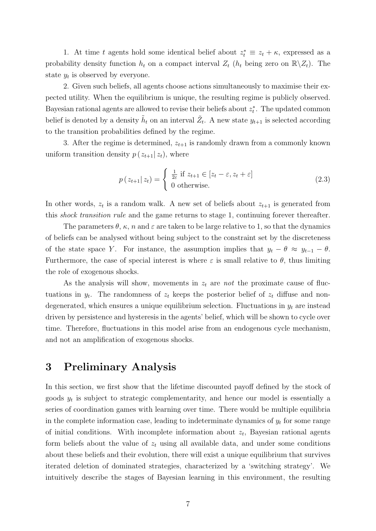1. At time t agents hold some identical belief about  $z_t^* \equiv z_t + \kappa$ , expressed as a probability density function  $h_t$  on a compact interval  $Z_t$  ( $h_t$  being zero on  $\mathbb{R}\setminus Z_t$ ). The state  $y_t$  is observed by everyone.

2. Given such beliefs, all agents choose actions simultaneously to maximise their expected utility. When the equilibrium is unique, the resulting regime is publicly observed. Bayesian rational agents are allowed to revise their beliefs about  $z_t^*$ . The updated common belief is denoted by a density  $\tilde{h}_t$  on an interval  $\tilde{Z}_t$ . A new state  $y_{t+1}$  is selected according to the transition probabilities defined by the regime.

3. After the regime is determined,  $z_{t+1}$  is randomly drawn from a commonly known uniform transition density  $p(z_{t+1}|z_t)$ , where

$$
p(z_{t+1}|z_t) = \begin{cases} \frac{1}{2\varepsilon} \text{ if } z_{t+1} \in [z_t - \varepsilon, z_t + \varepsilon] \\ 0 \text{ otherwise.} \end{cases}
$$
 (2.3)

In other words,  $z_t$  is a random walk. A new set of beliefs about  $z_{t+1}$  is generated from this shock transition rule and the game returns to stage 1, continuing forever thereafter.

The parameters  $\theta$ ,  $\kappa$ , n and  $\varepsilon$  are taken to be large relative to 1, so that the dynamics of beliefs can be analysed without being subject to the constraint set by the discreteness of the state space Y. For instance, the assumption implies that  $y_t - \theta \approx y_{t-1} - \theta$ . Furthermore, the case of special interest is where  $\varepsilon$  is small relative to  $\theta$ , thus limiting the role of exogenous shocks.

As the analysis will show, movements in  $z_t$  are not the proximate cause of fluctuations in  $y_t$ . The randomness of  $z_t$  keeps the posterior belief of  $z_t$  diffuse and nondegenerated, which ensures a unique equilibrium selection. Fluctuations in  $y_t$  are instead driven by persistence and hysteresis in the agents' belief, which will be shown to cycle over time. Therefore, fluctuations in this model arise from an endogenous cycle mechanism, and not an amplification of exogenous shocks.

### 3 Preliminary Analysis

In this section, we first show that the lifetime discounted payoff defined by the stock of goods  $y_t$  is subject to strategic complementarity, and hence our model is essentially a series of coordination games with learning over time. There would be multiple equilibria in the complete information case, leading to indeterminate dynamics of  $y_t$  for some range of initial conditions. With incomplete information about  $z_t$ , Bayesian rational agents form beliefs about the value of  $z_t$  using all available data, and under some conditions about these beliefs and their evolution, there will exist a unique equilibrium that survives iterated deletion of dominated strategies, characterized by a 'switching strategy'. We intuitively describe the stages of Bayesian learning in this environment, the resulting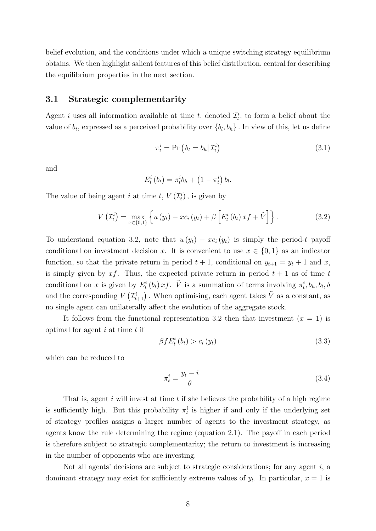belief evolution, and the conditions under which a unique switching strategy equilibrium obtains. We then highlight salient features of this belief distribution, central for describing the equilibrium properties in the next section.

#### 3.1 Strategic complementarity

Agent *i* uses all information available at time *t*, denoted  $\mathcal{I}_t^i$ , to form a belief about the value of  $b_t$ , expressed as a perceived probability over  $\{b_l, b_h\}$ . In view of this, let us define

$$
\pi_t^i = \Pr\left(b_t = b_h | \mathcal{I}_t^i\right) \tag{3.1}
$$

and

$$
E_t^i(b_t) = \pi_t^i b_h + \left(1 - \pi_t^i\right) b_l.
$$

The value of being agent *i* at time *t*,  $V(\mathcal{I}_t^i)$ , is given by

$$
V\left(\mathcal{I}_t^i\right) = \max_{x \in \{0,1\}} \left\{ u\left(y_t\right) - x c_i\left(y_t\right) + \beta \left[E_t^i\left(b_t\right) x f + \tilde{V}\right] \right\}.
$$
 (3.2)

To understand equation 3.2, note that  $u(y_t) - xc_i(y_t)$  is simply the period-t payoff conditional on investment decision x. It is convenient to use  $x \in \{0,1\}$  as an indicator function, so that the private return in period  $t + 1$ , conditional on  $y_{t+1} = y_t + 1$  and x, is simply given by xf. Thus, the expected private return in period  $t + 1$  as of time t conditional on x is given by  $E_t^i(b_t) xf$ .  $\tilde{V}$  is a summation of terms involving  $\pi_t^i, b_h, b_l, \delta$ and the corresponding  $V(\mathcal{I}_{t+1}^i)$ . When optimising, each agent takes  $\tilde{V}$  as a constant, as no single agent can unilaterally affect the evolution of the aggregate stock.

It follows from the functional representation 3.2 then that investment  $(x = 1)$  is optimal for agent  $i$  at time  $t$  if

$$
\beta f E_t^i(b_t) > c_i(y_t) \tag{3.3}
$$

which can be reduced to

$$
\pi_t^i = \frac{y_t - i}{\theta} \tag{3.4}
$$

That is, agent  $i$  will invest at time  $t$  if she believes the probability of a high regime is sufficiently high. But this probability  $\pi_t^i$  is higher if and only if the underlying set of strategy profiles assigns a larger number of agents to the investment strategy, as agents know the rule determining the regime (equation 2.1). The payoff in each period is therefore subject to strategic complementarity; the return to investment is increasing in the number of opponents who are investing.

Not all agents' decisions are subject to strategic considerations; for any agent  $i$ , a dominant strategy may exist for sufficiently extreme values of  $y_t$ . In particular,  $x = 1$  is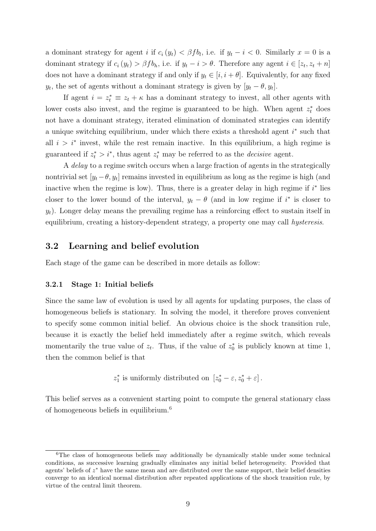a dominant strategy for agent i if  $c_i(y_t) < \beta f b_l$ , i.e. if  $y_t - i < 0$ . Similarly  $x = 0$  is a dominant strategy if  $c_i(y_t) > \beta f b_h$ , i.e. if  $y_t - i > \theta$ . Therefore any agent  $i \in [z_t, z_t + n]$ does not have a dominant strategy if and only if  $y_t \in [i, i + \theta]$ . Equivalently, for any fixed  $y_t$ , the set of agents without a dominant strategy is given by  $[y_t - \theta, y_t]$ .

If agent  $i = z_t^* \equiv z_t + \kappa$  has a dominant strategy to invest, all other agents with lower costs also invest, and the regime is guaranteed to be high. When agent  $z_t^*$  does not have a dominant strategy, iterated elimination of dominated strategies can identify a unique switching equilibrium, under which there exists a threshold agent  $i^*$  such that all  $i > i^*$  invest, while the rest remain inactive. In this equilibrium, a high regime is guaranteed if  $z_t^* > i^*$ , thus agent  $z_t^*$  may be referred to as the *decisive* agent.

A delay to a regime switch occurs when a large fraction of agents in the strategically nontrivial set  $[y_t - \theta, y_t]$  remains invested in equilibrium as long as the regime is high (and inactive when the regime is low). Thus, there is a greater delay in high regime if  $i^*$  lies closer to the lower bound of the interval,  $y_t - \theta$  (and in low regime if i<sup>\*</sup> is closer to  $y_t$ ). Longer delay means the prevailing regime has a reinforcing effect to sustain itself in equilibrium, creating a history-dependent strategy, a property one may call hysteresis.

### 3.2 Learning and belief evolution

Each stage of the game can be described in more details as follow:

#### 3.2.1 Stage 1: Initial beliefs

Since the same law of evolution is used by all agents for updating purposes, the class of homogeneous beliefs is stationary. In solving the model, it therefore proves convenient to specify some common initial belief. An obvious choice is the shock transition rule, because it is exactly the belief held immediately after a regime switch, which reveals momentarily the true value of  $z_t$ . Thus, if the value of  $z_0^*$  is publicly known at time 1, then the common belief is that

 $z_1^*$  is uniformly distributed on  $[z_0^* - \varepsilon, z_0^* + \varepsilon]$ .

This belief serves as a convenient starting point to compute the general stationary class of homogeneous beliefs in equilibrium.<sup>6</sup>

 $6$ The class of homogeneous beliefs may additionally be dynamically stable under some technical conditions, as successive learning gradually eliminates any initial belief heterogeneity. Provided that agents' beliefs of  $z^*$  have the same mean and are distributed over the same support, their belief densities converge to an identical normal distribution after repeated applications of the shock transition rule, by virtue of the central limit theorem.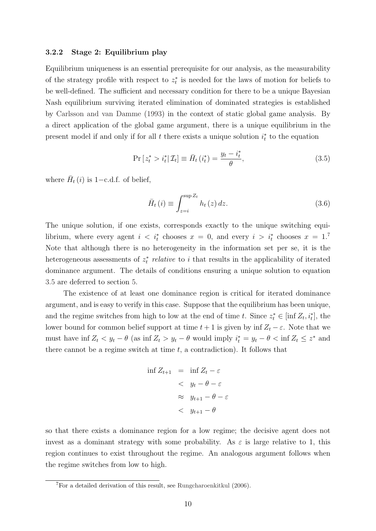#### 3.2.2 Stage 2: Equilibrium play

Equilibrium uniqueness is an essential prerequisite for our analysis, as the measurability of the strategy profile with respect to  $z_t^*$  is needed for the laws of motion for beliefs to be well-defined. The sufficient and necessary condition for there to be a unique Bayesian Nash equilibrium surviving iterated elimination of dominated strategies is established by Carlsson and van Damme (1993) in the context of static global game analysis. By a direct application of the global game argument, there is a unique equilibrium in the present model if and only if for all  $t$  there exists a unique solution  $i_t^*$  to the equation

$$
\Pr\left[z_{t}^{*} > i_{t}^{*} | \mathcal{I}_{t}\right] \equiv \bar{H}_{t}\left(i_{t}^{*}\right) = \frac{y_{t} - i_{t}^{*}}{\theta},\tag{3.5}
$$

where  $\bar{H}_t(i)$  is 1-c.d.f. of belief,

$$
\bar{H}_{t}(i) \equiv \int_{z=i}^{\sup Z_{t}} h_{t}(z) dz.
$$
\n(3.6)

The unique solution, if one exists, corresponds exactly to the unique switching equilibrium, where every agent  $i \leq i_t^*$  chooses  $x = 0$ , and every  $i > i_t^*$  chooses  $x = 1$ . Note that although there is no heterogeneity in the information set per se, it is the heterogeneous assessments of  $z_t^*$  relative to i that results in the applicability of iterated dominance argument. The details of conditions ensuring a unique solution to equation 3.5 are deferred to section 5.

The existence of at least one dominance region is critical for iterated dominance argument, and is easy to verify in this case. Suppose that the equilibrium has been unique, and the regime switches from high to low at the end of time t. Since  $z_t^* \in [\inf Z_t, i_t^*]$ , the lower bound for common belief support at time  $t + 1$  is given by inf  $Z_t - \varepsilon$ . Note that we must have inf  $Z_t < y_t - \theta$  (as inf  $Z_t > y_t - \theta$  would imply  $i_t^* = y_t - \theta < \inf Z_t \leq z^*$  and there cannot be a regime switch at time  $t$ , a contradiction). It follows that

$$
\inf Z_{t+1} = \inf Z_t - \varepsilon
$$
  

$$
< y_t - \theta - \varepsilon
$$
  

$$
\approx y_{t+1} - \theta - \varepsilon
$$
  

$$
< y_{t+1} - \theta
$$

so that there exists a dominance region for a low regime; the decisive agent does not invest as a dominant strategy with some probability. As  $\varepsilon$  is large relative to 1, this region continues to exist throughout the regime. An analogous argument follows when the regime switches from low to high.

<sup>7</sup>For a detailed derivation of this result, see Rungcharoenkitkul (2006).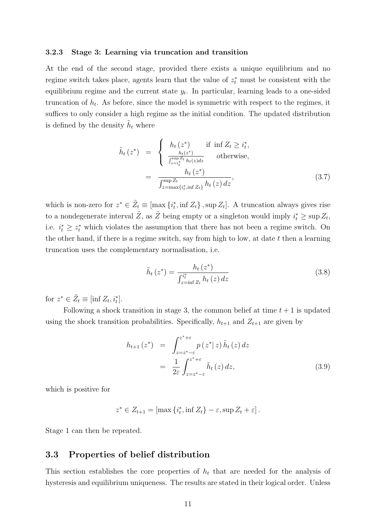#### 3.2.3 Stage 3: Learning via truncation and transition

At the end of the second stage, provided there exists a unique equilibrium and no regime switch takes place, agents learn that the value of  $z_t^*$  must be consistent with the equilibrium regime and the current state  $y_t$ . In particular, learning leads to a one-sided truncation of  $h_t$ . As before, since the model is symmetric with respect to the regimes, it suffices to only consider a high regime as the initial condition. The updated distribution is defined by the density  $\tilde{h}_t$  where

$$
\tilde{h}_t(z^*) = \begin{cases}\n h_t(z^*) & \text{if } \inf Z_t \ge i_t^*, \\
 \frac{h_t(z^*)}{\int_{z=i_t^*}^{\sup Z_t} h_t(z) dz} & \text{otherwise,} \\
 h_t(z^*) & \text{otherwise,} \\
 \frac{h_t(z^*)}{\int_{z=\max\{i_t^*, \inf Z_t\}}^{\sup Z_t} h_t(z) dz},\n\end{cases} \tag{3.7}
$$

which is non-zero for  $z^* \in \tilde{Z}_t \equiv [\max\{i_t^*, \inf Z_t\}, \sup Z_t]$ . A truncation always gives rise to a nondegenerate interval  $\tilde{Z}$ , as  $\tilde{Z}$  being empty or a singleton would imply  $i_t^* \ge \sup Z_t$ , i.e.  $i_t^* \geq z_t^*$  which violates the assumption that there has not been a regime switch. On the other hand, if there is a regime switch, say from high to low, at date  $t$  then a learning truncation uses the complementary normalisation, i.e.

$$
\tilde{h}_t(z^*) = \frac{h_t(z^*)}{\int_{z=\inf Z_t}^{i_t^*} h_t(z) \, dz} \tag{3.8}
$$

for  $z^* \in \tilde{Z}_t \equiv [\inf Z_t, i_t^*].$ 

Following a shock transition in stage 3, the common belief at time  $t + 1$  is updated using the shock transition probabilities. Specifically,  $h_{t+1}$  and  $Z_{t+1}$  are given by

$$
h_{t+1}(z^*) = \int_{z=z^*-\varepsilon}^{z^*+\varepsilon} p(z^*|z) \tilde{h}_t(z) dz
$$
  

$$
= \frac{1}{2\varepsilon} \int_{z=z^*-\varepsilon}^{z^*+\varepsilon} \tilde{h}_t(z) dz,
$$
 (3.9)

which is positive for

$$
z^* \in Z_{t+1} = [\max \{i_t^*, \inf Z_t\} - \varepsilon, \sup Z_t + \varepsilon].
$$

Stage 1 can then be repeated.

### 3.3 Properties of belief distribution

This section establishes the core properties of  $h_t$  that are needed for the analysis of hysteresis and equilibrium uniqueness. The results are stated in their logical order. Unless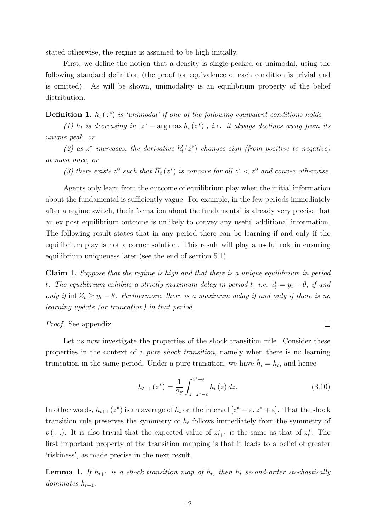stated otherwise, the regime is assumed to be high initially.

First, we define the notion that a density is single-peaked or unimodal, using the following standard definition (the proof for equivalence of each condition is trivial and is omitted). As will be shown, unimodality is an equilibrium property of the belief distribution.

**Definition 1.**  $h_t(z^*)$  is 'unimodal' if one of the following equivalent conditions holds

(1)  $h_t$  is decreasing in  $|z^* - \arg \max h_t(z^*)|$ , i.e. it always declines away from its unique peak, or

(2) as  $z^*$  increases, the derivative  $h'_t(z^*)$  changes sign (from positive to negative) at most once, or

(3) there exists  $z^0$  such that  $\bar{H}_t(z^*)$  is concave for all  $z^* < z^0$  and convex otherwise.

Agents only learn from the outcome of equilibrium play when the initial information about the fundamental is sufficiently vague. For example, in the few periods immediately after a regime switch, the information about the fundamental is already very precise that an ex post equilibrium outcome is unlikely to convey any useful additional information. The following result states that in any period there can be learning if and only if the equilibrium play is not a corner solution. This result will play a useful role in ensuring equilibrium uniqueness later (see the end of section 5.1).

Claim 1. Suppose that the regime is high and that there is a unique equilibrium in period t. The equilibrium exhibits a strictly maximum delay in period t, i.e.  $i_t^* = y_t - \theta$ , if and only if inf  $Z_t \geq y_t - \theta$ . Furthermore, there is a maximum delay if and only if there is no learning update (or truncation) in that period.

Proof. See appendix.

Let us now investigate the properties of the shock transition rule. Consider these properties in the context of a pure shock transition, namely when there is no learning truncation in the same period. Under a pure transition, we have  $\tilde{h}_t = h_t$ , and hence

$$
h_{t+1}(z^*) = \frac{1}{2\varepsilon} \int_{z=z^*-\varepsilon}^{z^*+\varepsilon} h_t(z) \, dz. \tag{3.10}
$$

 $\Box$ 

In other words,  $h_{t+1}(z^*)$  is an average of  $h_t$  on the interval  $[z^* - \varepsilon, z^* + \varepsilon]$ . That the shock transition rule preserves the symmetry of  $h_t$  follows immediately from the symmetry of  $p(.|.)$ . It is also trivial that the expected value of  $z_{t+1}^*$  is the same as that of  $z_t^*$ . The first important property of the transition mapping is that it leads to a belief of greater 'riskiness', as made precise in the next result.

**Lemma 1.** If  $h_{t+1}$  is a shock transition map of  $h_t$ , then  $h_t$  second-order stochastically dominates  $h_{t+1}$ .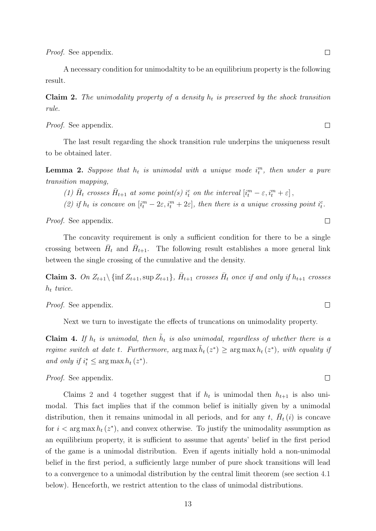Proof. See appendix.

A necessary condition for unimodaltity to be an equilibrium property is the following result.

**Claim 2.** The unimodality property of a density  $h_t$  is preserved by the shock transition rule.

*Proof.* See appendix.

The last result regarding the shock transition rule underpins the uniqueness result to be obtained later.

**Lemma 2.** Suppose that  $h_t$  is unimodal with a unique mode  $i_t^m$ , then under a pure transition mapping,

(1)  $\bar{H}_t$  crosses  $\bar{H}_{t+1}$  at some point(s)  $i_t^c$  on the interval  $[i_t^m - \varepsilon, i_t^m + \varepsilon]$ ,

(2) if  $h_t$  is concave on  $[i_t^m - 2\varepsilon, i_t^m + 2\varepsilon]$ , then there is a unique crossing point  $i_t^c$ .

Proof. See appendix.

The concavity requirement is only a sufficient condition for there to be a single crossing between  $\bar{H}_t$  and  $\bar{H}_{t+1}$ . The following result establishes a more general link between the single crossing of the cumulative and the density.

**Claim 3.** On  $Z_{t+1} \setminus \{\inf Z_{t+1}, \sup Z_{t+1}\}, \bar{H}_{t+1}$  crosses  $\bar{H}_t$  once if and only if  $h_{t+1}$  crosses  $h_t$  twice.

Proof. See appendix.

Next we turn to investigate the effects of truncations on unimodality property.

**Claim 4.** If  $h_t$  is unimodal, then  $\tilde{h}_t$  is also unimodal, regardless of whether there is a regime switch at date t. Furthermore,  $\arg \max \tilde{h}_t(z^*) \geq \arg \max h_t(z^*)$ , with equality if and only if  $i_t^* \leq \arg \max h_t(z^*)$ .

Proof. See appendix.

Claims 2 and 4 together suggest that if  $h_t$  is unimodal then  $h_{t+1}$  is also unimodal. This fact implies that if the common belief is initially given by a unimodal distribution, then it remains unimodal in all periods, and for any t,  $\bar{H}_t(i)$  is concave for  $i < \arg \max h_t(z^*)$ , and convex otherwise. To justify the unimodality assumption as an equilibrium property, it is sufficient to assume that agents' belief in the first period of the game is a unimodal distribution. Even if agents initially hold a non-unimodal belief in the first period, a sufficiently large number of pure shock transitions will lead to a convergence to a unimodal distribution by the central limit theorem (see section 4.1 below). Henceforth, we restrict attention to the class of unimodal distributions.

 $\Box$ 

 $\Box$ 

 $\Box$ 

 $\Box$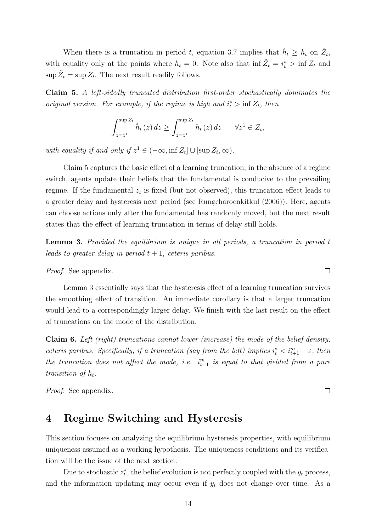When there is a truncation in period t, equation 3.7 implies that  $\tilde{h}_t \geq h_t$  on  $\tilde{Z}_t$ , with equality only at the points where  $h_t = 0$ . Note also that inf  $\tilde{Z}_t = i_t^* > \inf Z_t$  and  $\sup \tilde{Z}_t = \sup Z_t$ . The next result readily follows.

Claim 5. A left-sidedly truncated distribution first-order stochastically dominates the original version. For example, if the regime is high and  $i_t^*$  > inf  $Z_t$ , then

$$
\int_{z=z^1}^{\sup Z_t} \tilde{h}_t(z) dz \ge \int_{z=z^1}^{\sup Z_t} h_t(z) dz \quad \forall z^1 \in Z_t,
$$

with equality if and only if  $z^1 \in (-\infty, \inf Z_t] \cup [\sup Z_t, \infty)$ .

Claim 5 captures the basic effect of a learning truncation; in the absence of a regime switch, agents update their beliefs that the fundamental is conducive to the prevailing regime. If the fundamental  $z_t$  is fixed (but not observed), this truncation effect leads to a greater delay and hysteresis next period (see Rungcharoenkitkul (2006)). Here, agents can choose actions only after the fundamental has randomly moved, but the next result states that the effect of learning truncation in terms of delay still holds.

Lemma 3. Provided the equilibrium is unique in all periods, a truncation in period t leads to greater delay in period  $t + 1$ , ceteris paribus.

Proof. See appendix.

Lemma 3 essentially says that the hysteresis effect of a learning truncation survives the smoothing effect of transition. An immediate corollary is that a larger truncation would lead to a correspondingly larger delay. We finish with the last result on the effect of truncations on the mode of the distribution.

Claim 6. Left (right) truncations cannot lower (increase) the mode of the belief density, ceteris paribus. Specifically, if a truncation (say from the left) implies  $i_t^* < i_{t+1}^m - \varepsilon$ , then the truncation does not affect the mode, i.e.  $i_{t+1}^m$  is equal to that yielded from a pure transition of  $h_t$ .

Proof. See appendix.

## 4 Regime Switching and Hysteresis

This section focuses on analyzing the equilibrium hysteresis properties, with equilibrium uniqueness assumed as a working hypothesis. The uniqueness conditions and its verification will be the issue of the next section.

Due to stochastic  $z_t^*$ , the belief evolution is not perfectly coupled with the  $y_t$  process, and the information updating may occur even if  $y_t$  does not change over time. As a

 $\Box$ 

 $\Box$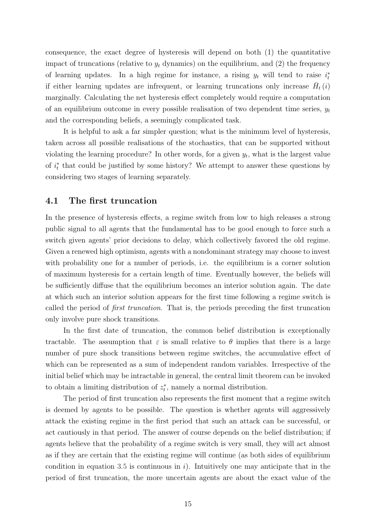consequence, the exact degree of hysteresis will depend on both (1) the quantitative impact of truncations (relative to  $y_t$  dynamics) on the equilibrium, and (2) the frequency of learning updates. In a high regime for instance, a rising  $y_t$  will tend to raise  $i_t^*$ if either learning updates are infrequent, or learning truncations only increase  $\bar{H}_t(i)$ marginally. Calculating the net hysteresis effect completely would require a computation of an equilibrium outcome in every possible realisation of two dependent time series,  $y_t$ and the corresponding beliefs, a seemingly complicated task.

It is helpful to ask a far simpler question; what is the minimum level of hysteresis, taken across all possible realisations of the stochastics, that can be supported without violating the learning procedure? In other words, for a given  $y_t$ , what is the largest value of  $i_t^*$  that could be justified by some history? We attempt to answer these questions by considering two stages of learning separately.

#### 4.1 The first truncation

In the presence of hysteresis effects, a regime switch from low to high releases a strong public signal to all agents that the fundamental has to be good enough to force such a switch given agents' prior decisions to delay, which collectively favored the old regime. Given a renewed high optimism, agents with a nondominant strategy may choose to invest with probability one for a number of periods, i.e. the equilibrium is a corner solution of maximum hysteresis for a certain length of time. Eventually however, the beliefs will be sufficiently diffuse that the equilibrium becomes an interior solution again. The date at which such an interior solution appears for the first time following a regime switch is called the period of first truncation. That is, the periods preceding the first truncation only involve pure shock transitions.

In the first date of truncation, the common belief distribution is exceptionally tractable. The assumption that  $\varepsilon$  is small relative to  $\theta$  implies that there is a large number of pure shock transitions between regime switches, the accumulative effect of which can be represented as a sum of independent random variables. Irrespective of the initial belief which may be intractable in general, the central limit theorem can be invoked to obtain a limiting distribution of  $z_t^*$ , namely a normal distribution.

The period of first truncation also represents the first moment that a regime switch is deemed by agents to be possible. The question is whether agents will aggressively attack the existing regime in the first period that such an attack can be successful, or act cautiously in that period. The answer of course depends on the belief distribution; if agents believe that the probability of a regime switch is very small, they will act almost as if they are certain that the existing regime will continue (as both sides of equilibrium condition in equation 3.5 is continuous in  $i$ ). Intuitively one may anticipate that in the period of first truncation, the more uncertain agents are about the exact value of the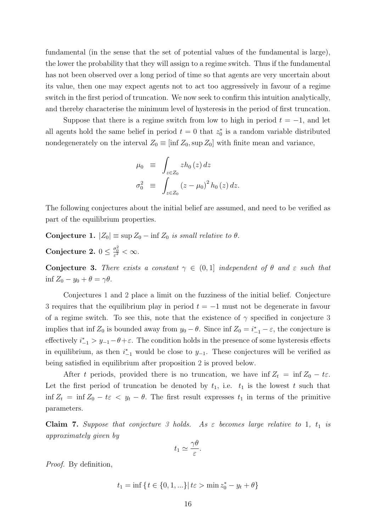fundamental (in the sense that the set of potential values of the fundamental is large), the lower the probability that they will assign to a regime switch. Thus if the fundamental has not been observed over a long period of time so that agents are very uncertain about its value, then one may expect agents not to act too aggressively in favour of a regime switch in the first period of truncation. We now seek to confirm this intuition analytically, and thereby characterise the minimum level of hysteresis in the period of first truncation.

Suppose that there is a regime switch from low to high in period  $t = -1$ , and let all agents hold the same belief in period  $t = 0$  that  $z_0^*$  is a random variable distributed nondegenerately on the interval  $Z_0 \equiv [\inf Z_0, \sup Z_0]$  with finite mean and variance,

$$
\mu_0 \equiv \int_{z \in Z_0} z h_0(z) dz
$$
  

$$
\sigma_0^2 \equiv \int_{z \in Z_0} (z - \mu_0)^2 h_0(z) dz.
$$

The following conjectures about the initial belief are assumed, and need to be verified as part of the equilibrium properties.

Conjecture 1.  $|Z_0| \equiv \sup Z_0 - \inf Z_0$  is small relative to  $\theta$ .

Conjecture 2.  $0 \leq \frac{\sigma_0^2}{\varepsilon^2} < \infty$ .

Conjecture 3. There exists a constant  $\gamma \in (0,1]$  independent of  $\theta$  and  $\varepsilon$  such that inf  $Z_0 - y_0 + \theta = \gamma \theta$ .

Conjectures 1 and 2 place a limit on the fuzziness of the initial belief. Conjecture 3 requires that the equilibrium play in period  $t = -1$  must not be degenerate in favour of a regime switch. To see this, note that the existence of  $\gamma$  specified in conjecture 3 implies that inf  $Z_0$  is bounded away from  $y_0 - \theta$ . Since inf  $Z_0 = i_{-1}^* - \varepsilon$ , the conjecture is effectively  $i_{-1}^* > y_{-1} - \theta + \varepsilon$ . The condition holds in the presence of some hysteresis effects in equilibrium, as then  $i_{-1}^*$  would be close to  $y_{-1}$ . These conjectures will be verified as being satisfied in equilibrium after proposition 2 is proved below.

After t periods, provided there is no truncation, we have inf  $Z_t = \inf Z_0 - t\varepsilon$ . Let the first period of truncation be denoted by  $t_1$ , i.e.  $t_1$  is the lowest t such that inf  $Z_t = \inf Z_0 - t\varepsilon < y_t - \theta$ . The first result expresses  $t_1$  in terms of the primitive parameters.

**Claim 7.** Suppose that conjecture 3 holds. As  $\varepsilon$  becomes large relative to 1,  $t_1$  is approximately given by

$$
t_1 \simeq \frac{\gamma \theta}{\varepsilon}.
$$

Proof. By definition,

$$
t_1 = \inf \{ t \in \{0, 1, \ldots\} | t\varepsilon > \min z_0^* - y_t + \theta \}
$$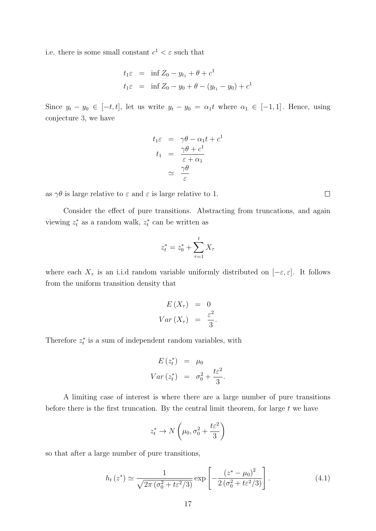i.e. there is some small constant  $c^1 < \varepsilon$  such that

$$
t_1 \varepsilon = \inf Z_0 - y_{t_1} + \theta + c^1
$$
  

$$
t_1 \varepsilon = \inf Z_0 - y_0 + \theta - (y_{t_1} - y_0) + c^1
$$

Since  $y_t - y_0 \in [-t, t]$ , let us write  $y_t - y_0 = \alpha_1 t$  where  $\alpha_1 \in [-1, 1]$ . Hence, using conjecture 3, we have

$$
t_1\varepsilon = \gamma\theta - \alpha_1 t + c^1
$$
  
\n
$$
t_1 = \frac{\gamma\theta + c^1}{\varepsilon + \alpha_1}
$$
  
\n
$$
\simeq \frac{\gamma\theta}{\varepsilon}
$$

as  $\gamma\theta$  is large relative to  $\varepsilon$  and  $\varepsilon$  is large relative to 1.

Consider the effect of pure transitions. Abstracting from truncations, and again viewing  $z_t^*$  as a random walk,  $z_t^*$  can be written as

$$
z_t^* = z_0^* + \sum_{\tau=1}^t X_\tau
$$

where each  $X_{\tau}$  is an i.i.d random variable uniformly distributed on  $[-\varepsilon, \varepsilon]$ . It follows from the uniform transition density that

$$
E(X_{\tau}) = 0
$$
  

$$
Var(X_{\tau}) = \frac{\varepsilon^2}{3}.
$$

Therefore  $z_t^*$  is a sum of independent random variables, with

$$
E(z_t^*) = \mu_0
$$
  
 
$$
Var(z_t^*) = \sigma_0^2 + \frac{t\epsilon^2}{3}.
$$

A limiting case of interest is where there are a large number of pure transitions before there is the first truncation. By the central limit theorem, for large  $t$  we have

$$
z_t^* \to N\left(\mu_0, \sigma_0^2 + \frac{t\varepsilon^2}{3}\right)
$$

so that after a large number of pure transitions,

$$
h_t(z^*) \simeq \frac{1}{\sqrt{2\pi \left(\sigma_0^2 + t\varepsilon^2/3\right)}} \exp\left[-\frac{\left(z^* - \mu_0\right)^2}{2\left(\sigma_0^2 + t\varepsilon^2/3\right)}\right].\tag{4.1}
$$

 $\Box$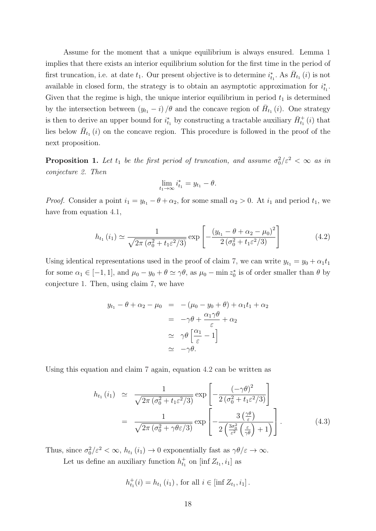Assume for the moment that a unique equilibrium is always ensured. Lemma 1 implies that there exists an interior equilibrium solution for the first time in the period of first truncation, i.e. at date  $t_1$ . Our present objective is to determine  $i_{t_1}^*$ . As  $\bar{H}_{t_1}(i)$  is not available in closed form, the strategy is to obtain an asymptotic approximation for  $i_{t_1}^*$ . Given that the regime is high, the unique interior equilibrium in period  $t_1$  is determined by the intersection between  $(y_{t_1} - i) / \theta$  and the concave region of  $\bar{H}_{t_1}(i)$ . One strategy is then to derive an upper bound for  $i_{t_1}^*$  by constructing a tractable auxiliary  $\bar{H}_{t_1}^+(i)$  that lies below  $\bar{H}_{t_1}(i)$  on the concave region. This procedure is followed in the proof of the next proposition.

**Proposition 1.** Let  $t_1$  be the first period of truncation, and assume  $\sigma_0^2/\varepsilon^2 < \infty$  as in conjecture 2. Then

$$
\lim_{t_1 \to \infty} i_{t_1}^* = y_{t_1} - \theta.
$$

*Proof.* Consider a point  $i_1 = y_{t_1} - \theta + \alpha_2$ , for some small  $\alpha_2 > 0$ . At  $i_1$  and period  $t_1$ , we have from equation 4.1,

$$
h_{t_1}(i_1) \simeq \frac{1}{\sqrt{2\pi (\sigma_0^2 + t_1 \varepsilon^2/3)}} \exp\left[-\frac{\left(y_{t_1} - \theta + \alpha_2 - \mu_0\right)^2}{2\left(\sigma_0^2 + t_1 \varepsilon^2/3\right)}\right]
$$
(4.2)

Using identical representations used in the proof of claim 7, we can write  $y_{t_1} = y_0 + \alpha_1 t_1$ for some  $\alpha_1 \in [-1, 1]$ , and  $\mu_0 - y_0 + \theta \simeq \gamma \theta$ , as  $\mu_0 - \min z_0^*$  is of order smaller than  $\theta$  by conjecture 1. Then, using claim 7, we have

$$
y_{t_1} - \theta + \alpha_2 - \mu_0 = -(\mu_0 - y_0 + \theta) + \alpha_1 t_1 + \alpha_2
$$
  

$$
= -\gamma \theta + \frac{\alpha_1 \gamma \theta}{\varepsilon} + \alpha_2
$$
  

$$
\simeq \gamma \theta \left[ \frac{\alpha_1}{\varepsilon} - 1 \right]
$$
  

$$
\simeq -\gamma \theta.
$$

Using this equation and claim 7 again, equation 4.2 can be written as

$$
h_{t_1}(i_1) \simeq \frac{1}{\sqrt{2\pi (\sigma_0^2 + t_1 \varepsilon^2/3)}} \exp\left[-\frac{(-\gamma \theta)^2}{2(\sigma_0^2 + t_1 \varepsilon^2/3)}\right]
$$
  
= 
$$
\frac{1}{\sqrt{2\pi (\sigma_0^2 + \gamma \theta \varepsilon/3)}} \exp\left[-\frac{3\left(\frac{\gamma \theta}{\varepsilon}\right)}{2\left(\frac{3\sigma_0^2}{\varepsilon^2}\left(\frac{\varepsilon}{\gamma \theta}\right) + 1\right)}\right].
$$
 (4.3)

Thus, since  $\sigma_0^2/\varepsilon^2 < \infty$ ,  $h_{t_1}(i_1) \to 0$  exponentially fast as  $\gamma \theta/\varepsilon \to \infty$ .

Let us define an auxiliary function  $h_{t_1}^+$  on [inf  $Z_{t_1}, i_1$ ] as

$$
h_{t_1}^+(i) = h_{t_1}(i_1), \text{ for all } i \in [\inf Z_{t_1}, i_1].
$$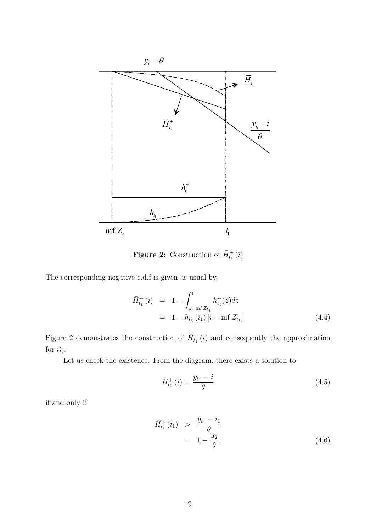

**Figure 2:** Construction of  $\bar{H}_{t_1}^+(i)$ 

The corresponding negative c.d.f is given as usual by,

$$
\begin{aligned}\n\bar{H}_{t_1}^+(i) &= 1 - \int_{z=\inf Z_{t_1}}^i h_{t_1}^+(z) dz \\
&= 1 - h_{t_1}(i_1) \left[ i - \inf Z_{t_1} \right]\n\end{aligned} \tag{4.4}
$$

Figure 2 demonstrates the construction of  $\bar{H}_{t_1}^+(i)$  and consequently the approximation for  $i_{t_1}^*$ .

Let us check the existence. From the diagram, there exists a solution to

$$
\bar{H}_{t_1}^+(i) = \frac{y_{t_1} - i}{\theta} \tag{4.5}
$$

if and only if

$$
\begin{array}{rcl}\n\bar{H}_{t_1}^+(i_1) > & \frac{y_{t_1} - i_1}{\theta} \\
& = & 1 - \frac{\alpha_2}{\theta}.\n\end{array} \tag{4.6}
$$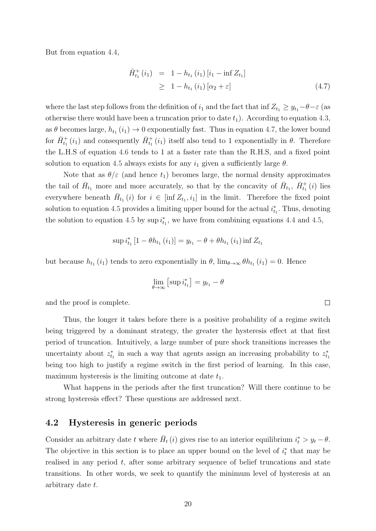But from equation 4.4,

$$
\begin{aligned}\n\bar{H}_{t_1}^+(i_1) &= 1 - h_{t_1}(i_1) \left[ i_1 - \inf Z_{t_1} \right] \\
&\geq 1 - h_{t_1}(i_1) \left[ \alpha_2 + \varepsilon \right]\n\end{aligned} \tag{4.7}
$$

where the last step follows from the definition of  $i_1$  and the fact that inf  $Z_{t_1} \geq y_{t_1} - \theta - \varepsilon$  (as otherwise there would have been a truncation prior to date  $t_1$ ). According to equation 4.3, as  $\theta$  becomes large,  $h_{t_1}(i_1) \rightarrow 0$  exponentially fast. Thus in equation 4.7, the lower bound for  $\bar{H}_{t_1}^+(i_1)$  and consequently  $\bar{H}_{t_1}^+(i_1)$  itself also tend to 1 exponentially in  $\theta$ . Therefore the L.H.S of equation 4.6 tends to 1 at a faster rate than the R.H.S, and a fixed point solution to equation 4.5 always exists for any  $i_1$  given a sufficiently large  $\theta$ .

Note that as  $\theta/\varepsilon$  (and hence  $t_1$ ) becomes large, the normal density approximates the tail of  $\bar{H}_{t_1}$  more and more accurately, so that by the concavity of  $\bar{H}_{t_1}$ ,  $\bar{H}_{t_1}^+(i)$  lies everywhere beneath  $\bar{H}_{t_1}(i)$  for  $i \in [\inf Z_{t_1}, i_1]$  in the limit. Therefore the fixed point solution to equation 4.5 provides a limiting upper bound for the actual  $i_{t_1}^*$ . Thus, denoting the solution to equation 4.5 by  $\sup i_{t_1}^*$ , we have from combining equations 4.4 and 4.5,

$$
\sup i_{t_1}^* [1 - \theta h_{t_1} (i_1)] = y_{t_1} - \theta + \theta h_{t_1} (i_1) \inf Z_{t_1}
$$

but because  $h_{t_1}(i_1)$  tends to zero exponentially in  $\theta$ ,  $\lim_{\theta \to \infty} \theta h_{t_1}(i_1) = 0$ . Hence

$$
\lim_{\theta \to \infty} \left[ \sup i_{t_1}^* \right] = y_{t_1} - \theta
$$

and the proof is complete.

Thus, the longer it takes before there is a positive probability of a regime switch being triggered by a dominant strategy, the greater the hysteresis effect at that first period of truncation. Intuitively, a large number of pure shock transitions increases the uncertainty about  $z_{t_1}^*$  in such a way that agents assign an increasing probability to  $z_{t_1}^*$ being too high to justify a regime switch in the first period of learning. In this case, maximum hysteresis is the limiting outcome at date  $t_1$ .

What happens in the periods after the first truncation? Will there continue to be strong hysteresis effect? These questions are addressed next.

#### 4.2 Hysteresis in generic periods

Consider an arbitrary date t where  $\bar{H}_t(i)$  gives rise to an interior equilibrium  $i_t^* > y_t - \theta$ . The objective in this section is to place an upper bound on the level of  $i_t^*$  that may be realised in any period t, after some arbitrary sequence of belief truncations and state transitions. In other words, we seek to quantify the minimum level of hysteresis at an arbitrary date t.

 $\Box$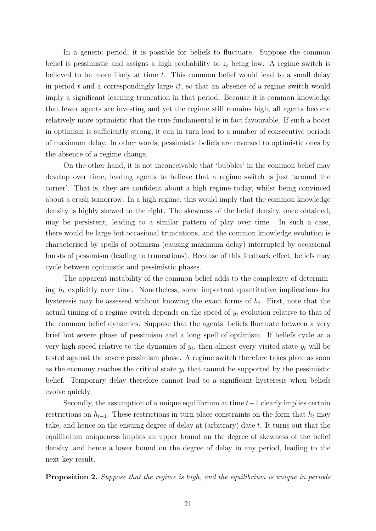In a generic period, it is possible for beliefs to fluctuate. Suppose the common belief is pessimistic and assigns a high probability to  $z_t$  being low. A regime switch is believed to be more likely at time  $t$ . This common belief would lead to a small delay in period t and a correspondingly large  $i_t^*$ , so that an absence of a regime switch would imply a significant learning truncation in that period. Because it is common knowledge that fewer agents are investing and yet the regime still remains high, all agents become relatively more optimistic that the true fundamental is in fact favourable. If such a boost in optimism is sufficiently strong, it can in turn lead to a number of consecutive periods of maximum delay. In other words, pessimistic beliefs are reversed to optimistic ones by the absence of a regime change.

On the other hand, it is not inconceivable that 'bubbles' in the common belief may develop over time, leading agents to believe that a regime switch is just 'around the corner'. That is, they are confident about a high regime today, whilst being convinced about a crash tomorrow. In a high regime, this would imply that the common knowledge density is highly skewed to the right. The skewness of the belief density, once obtained, may be persistent, leading to a similar pattern of play over time. In such a case, there would be large but occasional truncations, and the common knowledge evolution is characterised by spells of optimism (causing maximum delay) interrupted by occasional bursts of pessimism (leading to truncations). Because of this feedback effect, beliefs may cycle between optimistic and pessimistic phases.

The apparent instability of the common belief adds to the complexity of determining  $h_t$  explicitly over time. Nonetheless, some important quantitative implications for hysteresis may be assessed without knowing the exact forms of  $h_t$ . First, note that the actual timing of a regime switch depends on the speed of  $y_t$  evolution relative to that of the common belief dynamics. Suppose that the agents' beliefs fluctuate between a very brief but severe phase of pessimism and a long spell of optimism. If beliefs cycle at a very high speed relative to the dynamics of  $y_t$ , then almost every visited state  $y_t$  will be tested against the severe pessimism phase. A regime switch therefore takes place as soon as the economy reaches the critical state  $y_t$  that cannot be supported by the pessimistic belief. Temporary delay therefore cannot lead to a significant hysteresis when beliefs evolve quickly.

Secondly, the assumption of a unique equilibrium at time  $t-1$  clearly implies certain restrictions on  $h_{t-1}$ . These restrictions in turn place constraints on the form that  $h_t$  may take, and hence on the ensuing degree of delay at (arbitrary) date t. It turns out that the equilibrium uniqueness implies an upper bound on the degree of skewness of the belief density, and hence a lower bound on the degree of delay in any period, leading to the next key result.

Proposition 2. Suppose that the regime is high, and the equilibrium is unique in periods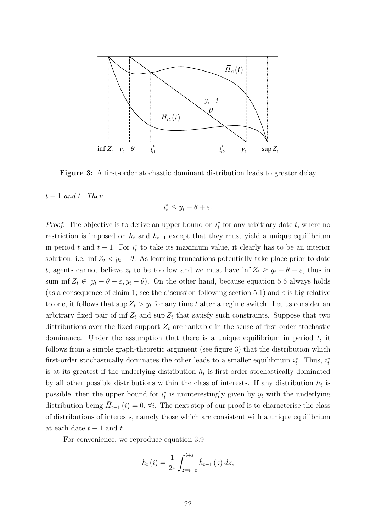

Figure 3: A first-order stochastic dominant distribution leads to greater delay

#### $t-1$  and t. Then

$$
i_t^* \le y_t - \theta + \varepsilon.
$$

 $\sigma$  are restriction is imposed on  $h_t$  and  $h_{t-1}$  except that they must yield a unique equilibrium  $\sim$ *Proof.* The objective is to derive an upper bound on  $i_t^*$  for any arbitrary date t, where no sum inf  $Z_t \in [y_t - \theta - \varepsilon, y_t - \theta)$ . On the other hand, because equation 5.6 always holds t, agents cannot believe  $z_t$  to be too low and we must have inf  $Z_t \geq y_t - \theta - \varepsilon$ , thus in to one, it follows that  $\sup Z_t > y_t$  for any time t after a regime switch. Let us consider an arbitrary fixed pair of inf  $Z_t$  and sup  $Z_t$  that satisfy such constraints. Suppose that two dominance. Under the assumption that there is a unique equilibrium in period  $t$ , it follows from a simple graph-theoretic argument (see figure 3) that the distribution which  $\epsilon$ is at its greatest if the underlying distribution  $h_t$  is first-order stochastically dominated by all other possible distributions within the class of interests. If any distribution  $h_t$  is in period t and  $t-1$ . For  $i<sub>t</sub><sup>*</sup>$  to take its maximum value, it clearly has to be an interior solution, i.e. inf  $Z_t < y_t - \theta$ . As learning truncations potentially take place prior to date (as a consequence of claim 1; see the discussion following section 5.1) and  $\varepsilon$  is big relative distributions over the fixed support  $Z_t$  are rankable in the sense of first-order stochastic first-order stochastically dominates the other leads to a smaller equilibrium  $i_t^*$ . Thus,  $i_t^*$ possible, then the upper bound for  $i_t^*$  is uninterestingly given by  $y_t$  with the underlying distribution being  $\bar{H}_{t-1}(i) = 0$ ,  $\forall i$ . The next step of our proof is to characterise the class of distributions of interests, namely those which are consistent with a unique equilibrium at each date  $t-1$  and  $t$ .

For convenience, we reproduce equation 3.9

$$
h_t(i) = \frac{1}{2\varepsilon} \int_{z=i-\varepsilon}^{i+\varepsilon} \tilde{h}_{t-1}(z) dz,
$$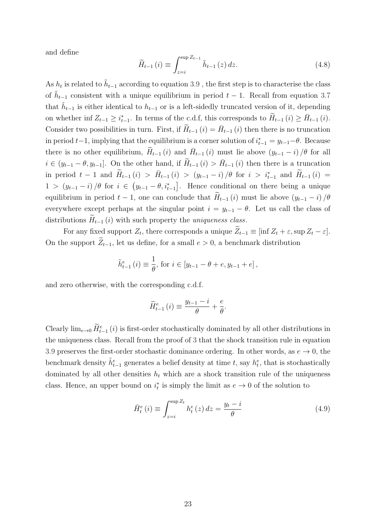and define

$$
\widetilde{H}_{t-1}(i) \equiv \int_{z=i}^{\sup Z_{t-1}} \widetilde{h}_{t-1}(z) dz.
$$
\n(4.8)

As  $h_t$  is related to  $\tilde{h}_{t-1}$  according to equation 3.9, the first step is to characterise the class of  $\tilde{h}_{t-1}$  consistent with a unique equilibrium in period  $t-1$ . Recall from equation 3.7 that  $\tilde{h}_{t-1}$  is either identical to  $h_{t-1}$  or is a left-sidedly truncated version of it, depending on whether inf  $Z_{t-1} \geq i_{t-1}^*$ . In terms of the c.d.f, this corresponds to  $\widetilde{H}_{t-1}(i) \geq \overline{H}_{t-1}(i)$ . Consider two possibilities in turn. First, if  $\widetilde{H}_{t-1}(i) = \overline{H}_{t-1}(i)$  then there is no truncation in period  $t-1$ , implying that the equilibrium is a corner solution of  $i_{t-1}^* = y_{t-1} - \theta$ . Because there is no other equilibrium,  $\widetilde{H}_{t-1}(i)$  and  $\overline{H}_{t-1}(i)$  must lie above  $(y_{t-1} - i) / \theta$  for all  $i \in (y_{t-1} - \theta, y_{t-1}]$ . On the other hand, if  $\widetilde{H}_{t-1}(i) > \overline{H}_{t-1}(i)$  then there is a truncation in period  $t-1$  and  $\widetilde{H}_{t-1}(i) > \overline{H}_{t-1}(i) > (y_{t-1}-i)/\theta$  for  $i > i_{t-1}^*$  and  $\widetilde{H}_{t-1}(i) =$ 1 >  $(y_{t-1} - i)$  /θ for  $i \in (y_{t-1} - \theta, i_{t-1}^*]$ . Hence conditional on there being a unique equilibrium in period  $t - 1$ , one can conclude that  $\widetilde{H}_{t-1}(i)$  must lie above  $(y_{t-1} - i)/\theta$ everywhere except perhaps at the singular point  $i = y_{t-1} - \theta$ . Let us call the class of distributions  $H_{t-1}(i)$  with such property the *uniqueness class*.

For any fixed support  $Z_t$ , there corresponds a unique  $Z_{t-1} \equiv \left[ \inf Z_t + \varepsilon, \sup Z_t - \varepsilon \right]$ . On the support  $Z_{t-1}$ , let us define, for a small  $e > 0$ , a benchmark distribution

$$
\tilde{h}_{t-1}^{e}(i) \equiv \frac{1}{\theta}, \text{ for } i \in [y_{t-1} - \theta + e, y_{t-1} + e],
$$

and zero otherwise, with the corresponding c.d.f.

$$
\widetilde{H}_{t-1}^{e}(i) \equiv \frac{y_{t-1} - i}{\theta} + \frac{e}{\theta}.
$$

Clearly  $\lim_{e\to 0} H_{t-1}^e(i)$  is first-order stochastically dominated by all other distributions in the uniqueness class. Recall from the proof of 3 that the shock transition rule in equation 3.9 preserves the first-order stochastic dominance ordering. In other words, as  $e \to 0$ , the benchmark density  $\tilde{h}_{t-1}^e$  generates a belief density at time t, say  $h_t^e$ , that is stochastically dominated by all other densities  $h_t$  which are a shock transition rule of the uniqueness class. Hence, an upper bound on  $i_t^*$  is simply the limit as  $e \to 0$  of the solution to

$$
\bar{H}_{t}^{e}(i) \equiv \int_{z=i}^{\sup Z_{t}} h_{t}^{e}(z) dz = \frac{y_{t} - i}{\theta}
$$
\n(4.9)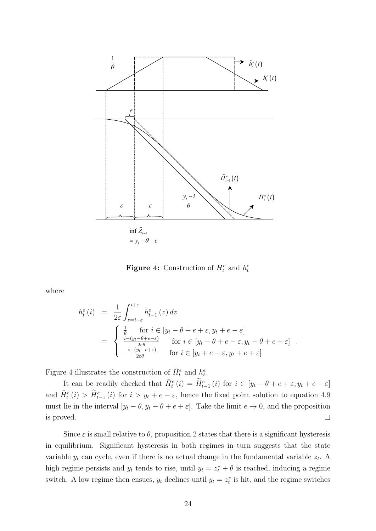

**Figure 4:** Construction of  $\bar{H}_t^e$  and  $h_t^e$ 

where

$$
h_t^e(i) = \frac{1}{2\varepsilon} \int_{z=i-\varepsilon}^{i+\varepsilon} \tilde{h}_{t-1}^e(z) dz
$$
  
\n
$$
= \begin{cases} \frac{1}{\theta} & \text{for } i \in [y_t - \theta + e + \varepsilon, y_t + e - \varepsilon] \\ \frac{i-(y_t - \theta + e - \varepsilon)}{2\varepsilon\theta} & \text{for } i \in [y_t - \theta + e - \varepsilon, y_t - \theta + e + \varepsilon] \\ \frac{-i+(y_t + e + \varepsilon)}{2\varepsilon\theta} & \text{for } i \in [y_t + e - \varepsilon, y_t + e + \varepsilon] \end{cases}
$$

Figure 4 illustrates the construction of  $\bar{H}_t^e$  and  $h_t^e$ .

It can be readily checked that  $\bar{H}_t^e(i) = \tilde{H}_{t-1}^e(i)$  for  $i \in [y_t - \theta + e + \varepsilon, y_t + e - \varepsilon]$ and  $\bar{H}_{t}^{e}(i) > \tilde{H}_{t-1}^{e}(i)$  for  $i > y_{t} + e - \varepsilon$ , hence the fixed point solution to equation 4.9 must lie in the interval  $[y_t - \theta, y_t - \theta + e + \varepsilon]$ . Take the limit  $e \to 0$ , and the proposition is proved.  $\Box$ 

Since  $\varepsilon$  is small relative to  $\theta$ , proposition 2 states that there is a significant hysteresis in equilibrium. Significant hysteresis in both regimes in turn suggests that the state variable  $y_t$  can cycle, even if there is no actual change in the fundamental variable  $z_t$ . A high regime persists and  $y_t$  tends to rise, until  $y_t = z_t^* + \theta$  is reached, inducing a regime switch. A low regime then ensues,  $y_t$  declines until  $y_t = z_t^*$  is hit, and the regime switches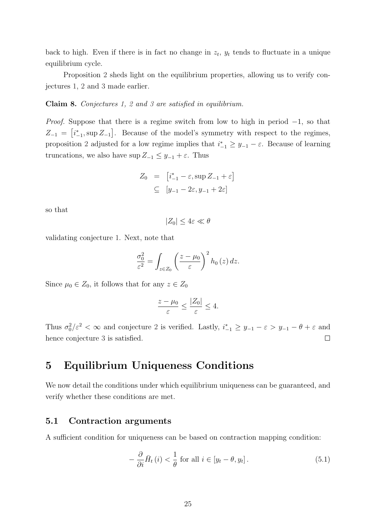back to high. Even if there is in fact no change in  $z_t$ ,  $y_t$  tends to fluctuate in a unique equilibrium cycle.

Proposition 2 sheds light on the equilibrium properties, allowing us to verify conjectures 1, 2 and 3 made earlier.

#### Claim 8. Conjectures 1, 2 and 3 are satisfied in equilibrium.

*Proof.* Suppose that there is a regime switch from low to high in period  $-1$ , so that  $Z_{-1} = [i_{-1}^*, \sup Z_{-1}]$ . Because of the model's symmetry with respect to the regimes, proposition 2 adjusted for a low regime implies that  $i_{-1}^* \geq y_{-1} - \varepsilon$ . Because of learning truncations, we also have  $\sup Z_{-1} \leq y_{-1} + \varepsilon$ . Thus

$$
Z_0 = [i_{-1}^* - \varepsilon, \sup Z_{-1} + \varepsilon]
$$
  

$$
\subseteq [y_{-1} - 2\varepsilon, y_{-1} + 2\varepsilon]
$$

so that

$$
|Z_0| \le 4\varepsilon \ll \theta
$$

validating conjecture 1. Next, note that

$$
\frac{\sigma_0^2}{\varepsilon^2} = \int_{z \in Z_0} \left( \frac{z - \mu_0}{\varepsilon} \right)^2 h_0(z) dz.
$$

Since  $\mu_0 \in Z_0$ , it follows that for any  $z \in Z_0$ 

$$
\frac{z-\mu_0}{\varepsilon} \le \frac{|Z_0|}{\varepsilon} \le 4.
$$

Thus  $\sigma_0^2/\varepsilon^2 < \infty$  and conjecture 2 is verified. Lastly,  $i_{-1}^* \geq y_{-1} - \varepsilon > y_{-1} - \theta + \varepsilon$  and hence conjecture 3 is satisfied.  $\Box$ 

# 5 Equilibrium Uniqueness Conditions

We now detail the conditions under which equilibrium uniqueness can be guaranteed, and verify whether these conditions are met.

#### 5.1 Contraction arguments

A sufficient condition for uniqueness can be based on contraction mapping condition:

$$
-\frac{\partial}{\partial i}\bar{H}_{t}(i) < \frac{1}{\theta} \text{ for all } i \in [y_{t} - \theta, y_{t}]. \tag{5.1}
$$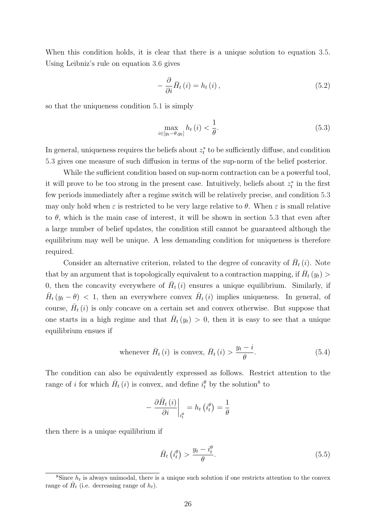When this condition holds, it is clear that there is a unique solution to equation 3.5. Using Leibniz's rule on equation 3.6 gives

$$
-\frac{\partial}{\partial i}\bar{H}_{t}\left(i\right) = h_{t}\left(i\right),\tag{5.2}
$$

so that the uniqueness condition 5.1 is simply

$$
\max_{i \in [y_t - \theta, y_t]} h_t(i) < \frac{1}{\theta}.\tag{5.3}
$$

In general, uniqueness requires the beliefs about  $z_t^*$  to be sufficiently diffuse, and condition 5.3 gives one measure of such diffusion in terms of the sup-norm of the belief posterior.

While the sufficient condition based on sup-norm contraction can be a powerful tool, it will prove to be too strong in the present case. Intuitively, beliefs about  $z_t^*$  in the first few periods immediately after a regime switch will be relatively precise, and condition 5.3 may only hold when  $\varepsilon$  is restricted to be very large relative to  $\theta$ . When  $\varepsilon$  is small relative to  $\theta$ , which is the main case of interest, it will be shown in section 5.3 that even after a large number of belief updates, the condition still cannot be guaranteed although the equilibrium may well be unique. A less demanding condition for uniqueness is therefore required.

Consider an alternative criterion, related to the degree of concavity of  $\bar{H}_t(i)$ . Note that by an argument that is topologically equivalent to a contraction mapping, if  $\bar{H}_t(y_t)$ 0, then the concavity everywhere of  $\bar{H}_{t}(i)$  ensures a unique equilibrium. Similarly, if  $\bar{H}_{t}(y_t - \theta)$  < 1, then an everywhere convex  $\bar{H}_{t}(i)$  implies uniqueness. In general, of course,  $\bar{H}_{t}(i)$  is only concave on a certain set and convex otherwise. But suppose that one starts in a high regime and that  $\bar{H}_t(y_t) > 0$ , then it is easy to see that a unique equilibrium ensues if

whenever 
$$
\bar{H}_t(i)
$$
 is convex,  $\bar{H}_t(i) > \frac{y_t - i}{\theta}$ . (5.4)

The condition can also be equivalently expressed as follows. Restrict attention to the range of *i* for which  $\bar{H}_t(i)$  is convex, and define  $i_t^{\theta}$  by the solution<sup>8</sup> to

$$
-\left.\frac{\partial\bar{H}_{t}\left(i\right)}{\partial i}\right|_{i_{t}^{\theta}}=h_{t}\left(i_{t}^{\theta}\right)=\frac{1}{\theta}
$$

then there is a unique equilibrium if

$$
\bar{H}_t\left(i_t^{\theta}\right) > \frac{y_t - i_t^{\theta}}{\theta}.\tag{5.5}
$$

<sup>&</sup>lt;sup>8</sup>Since  $h_t$  is always unimodal, there is a unique such solution if one restricts attention to the convex range of  $\bar{H}_t$  (i.e. decreasing range of  $h_t$ ).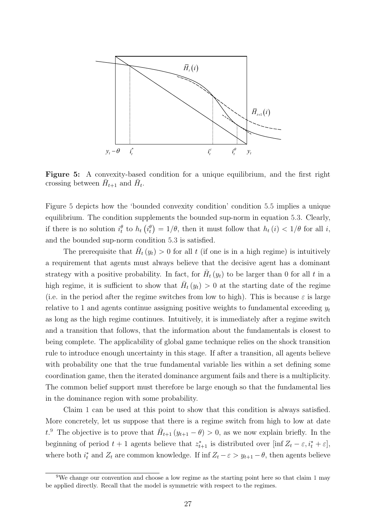

crossing between  $\bar{H}_{t+1}$  and  $\bar{H}_t$ . Figure 5: A convexity-based condition for a unique equilibrium, and the first right

if there is no solution  $i_t^{\theta}$  to  $h_t(i_t^{\theta}) = 1/\theta$ , then it must follow that  $h_t(i) < 1/\theta$  for all i, and the bounded sup-norm condition 5.3 is satisfied. Figure 5 depicts how the 'bounded convexity condition' condition 5.5 implies a unique equilibrium. The condition supplements the bounded sup-norm in equation 5.3. Clearly,

high regime, it is sufficient to show that  $\bar{H}_t(y_t) > 0$  at the starting date of the regime  $\frac{1}{\sqrt{3}}$   $\frac{1}{\sqrt{3}}$   $\frac{1}{\sqrt{3}}$   $\frac{1}{\sqrt{3}}$   $\frac{1}{\sqrt{3}}$   $\frac{1}{\sqrt{3}}$   $\frac{1}{\sqrt{3}}$   $\frac{1}{\sqrt{3}}$   $\frac{1}{\sqrt{3}}$   $\frac{1}{\sqrt{3}}$   $\frac{1}{\sqrt{3}}$   $\frac{1}{\sqrt{3}}$   $\frac{1}{\sqrt{3}}$   $\frac{1}{\sqrt{3}}$   $\frac{1}{\sqrt{3}}$   $\frac{1}{\sqrt{3}}$   $\frac{1}{\sqrt{3}}$  relative to 1 and agents continue assigning positive weights to fundamental exceeding  $y_t$ as long as the high regime continues. Intuitively, it is immediately after a regime switch with probability one that the true fundamental variable lies within a set defining some The prerequisite that  $\bar{H}_t(y_t) > 0$  for all t (if one is in a high regime) is intuitively a requirement that agents must always believe that the decisive agent has a dominant strategy with a positive probability. In fact, for  $\bar{H}_t(y_t)$  to be larger than 0 for all t in a (i.e. in the period after the regime switches from low to high). This is because  $\varepsilon$  is large and a transition that follows, that the information about the fundamentals is closest to being complete. The applicability of global game technique relies on the shock transition rule to introduce enough uncertainty in this stage. If after a transition, all agents believe coordination game, then the iterated dominance argument fails and there is a multiplicity. The common belief support must therefore be large enough so that the fundamental lies in the dominance region with some probability.

Claim 1 can be used at this point to show that this condition is always satisfied. More concretely, let us suppose that there is a regime switch from high to low at date t.<sup>9</sup> The objective is to prove that  $\bar{H}_{t+1} (y_{t+1} - \theta) > 0$ , as we now explain briefly. In the beginning of period  $t + 1$  agents believe that  $z_{t+1}^*$  is distributed over  $[\inf Z_t - \varepsilon, i_t^* + \varepsilon]$ , where both  $i_t^*$  and  $Z_t$  are common knowledge. If inf  $Z_t - \varepsilon > y_{t+1} - \theta$ , then agents believe

<sup>&</sup>lt;sup>9</sup>We change our convention and choose a low regime as the starting point here so that claim 1 may be applied directly. Recall that the model is symmetric with respect to the regimes.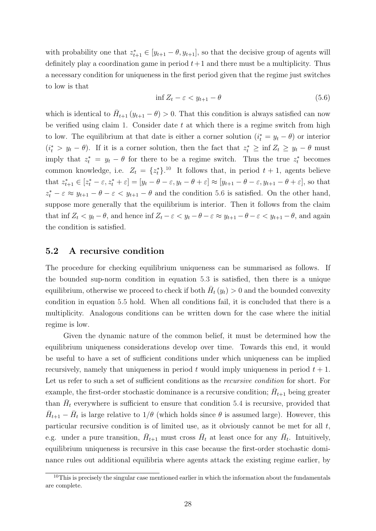with probability one that  $z_{t+1}^* \in [y_{t+1} - \theta, y_{t+1}]$ , so that the decisive group of agents will definitely play a coordination game in period  $t+1$  and there must be a multiplicity. Thus a necessary condition for uniqueness in the first period given that the regime just switches to low is that

$$
\inf Z_t - \varepsilon < y_{t+1} - \theta \tag{5.6}
$$

which is identical to  $\bar{H}_{t+1} (y_{t+1} - \theta) > 0$ . That this condition is always satisfied can now be verified using claim 1. Consider date  $t$  at which there is a regime switch from high to low. The equilibrium at that date is either a corner solution  $(i_t^* = y_t - \theta)$  or interior  $(i<sub>t</sub><sup>*</sup> > y<sub>t</sub> - \theta)$ . If it is a corner solution, then the fact that  $z<sub>t</sub><sup>*</sup> \geq \inf Z_t \geq y_t - \theta$  must imply that  $z_t^* = y_t - \theta$  for there to be a regime switch. Thus the true  $z_t^*$  becomes common knowledge, i.e.  $Z_t = \{z_t^*\}$ <sup>10</sup> It follows that, in period  $t + 1$ , agents believe that  $z_{t+1}^* \in [z_t^* - \varepsilon, z_t^* + \varepsilon] = [y_t - \theta - \varepsilon, y_t - \theta + \varepsilon] \approx [y_{t+1} - \theta - \varepsilon, y_{t+1} - \theta + \varepsilon]$ , so that  $z_t^* - \varepsilon \approx y_{t+1} - \theta - \varepsilon < y_{t+1} - \theta$  and the condition 5.6 is satisfied. On the other hand, suppose more generally that the equilibrium is interior. Then it follows from the claim that inf  $Z_t < y_t - \theta$ , and hence inf  $Z_t - \varepsilon < y_t - \theta - \varepsilon \approx y_{t+1} - \theta - \varepsilon < y_{t+1} - \theta$ , and again the condition is satisfied.

#### 5.2 A recursive condition

The procedure for checking equilibrium uniqueness can be summarised as follows. If the bounded sup-norm condition in equation 5.3 is satisfied, then there is a unique equilibrium, otherwise we proceed to check if both  $\bar{H}_t(y_t) > 0$  and the bounded convexity condition in equation 5.5 hold. When all conditions fail, it is concluded that there is a multiplicity. Analogous conditions can be written down for the case where the initial regime is low.

Given the dynamic nature of the common belief, it must be determined how the equilibrium uniqueness considerations develop over time. Towards this end, it would be useful to have a set of sufficient conditions under which uniqueness can be implied recursively, namely that uniqueness in period t would imply uniqueness in period  $t + 1$ . Let us refer to such a set of sufficient conditions as the *recursive condition* for short. For example, the first-order stochastic dominance is a recursive condition;  $\bar{H}_{t+1}$  being greater than  $\bar{H}_t$  everywhere is sufficient to ensure that condition 5.4 is recursive, provided that  $\bar{H}_{t+1} - \bar{H}_t$  is large relative to  $1/\theta$  (which holds since  $\theta$  is assumed large). However, this particular recursive condition is of limited use, as it obviously cannot be met for all  $t$ , e.g. under a pure transition,  $\bar{H}_{t+1}$  must cross  $\bar{H}_t$  at least once for any  $\bar{H}_t$ . Intuitively, equilibrium uniqueness is recursive in this case because the first-order stochastic dominance rules out additional equilibria where agents attack the existing regime earlier, by

 $10$ This is precisely the singular case mentioned earlier in which the information about the fundamentals are complete.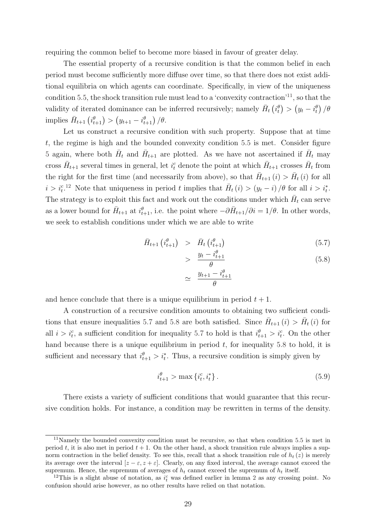requiring the common belief to become more biased in favour of greater delay.

The essential property of a recursive condition is that the common belief in each period must become sufficiently more diffuse over time, so that there does not exist additional equilibria on which agents can coordinate. Specifically, in view of the uniqueness condition 5.5, the shock transition rule must lead to a 'convexity contraction'<sup>11</sup>, so that the validity of iterated dominance can be inferred recursively; namely  $\bar{H}_t(i_t^{\theta}) > (y_t - i_t^{\theta})/\theta$ implies  $\bar{H}_{t+1}(\hat{i}_{t+1}^{\theta}) > (y_{t+1} - i_{t+1}^{\theta})/\theta$ .

Let us construct a recursive condition with such property. Suppose that at time t, the regime is high and the bounded convexity condition 5.5 is met. Consider figure 5 again, where both  $\bar{H}_t$  and  $\bar{H}_{t+1}$  are plotted. As we have not ascertained if  $\bar{H}_t$  may cross  $\bar{H}_{t+1}$  several times in general, let  $i_t^c$  denote the point at which  $\bar{H}_{t+1}$  crosses  $\bar{H}_t$  from the right for the first time (and necessarily from above), so that  $\bar{H}_{t+1}(i) > \bar{H}_t(i)$  for all  $i > i_t^{c}$ .<sup>12</sup> Note that uniqueness in period t implies that  $\bar{H}_t(i) > (y_t - i)/\theta$  for all  $i > i_t^*$ . The strategy is to exploit this fact and work out the conditions under which  $\bar{H}_t$  can serve as a lower bound for  $\bar{H}_{t+1}$  at  $i_{t+1}^{\theta}$ , i.e. the point where  $-\partial \bar{H}_{t+1}/\partial i = 1/\theta$ . In other words, we seek to establish conditions under which we are able to write

$$
\bar{H}_{t+1} \left( i_{t+1}^{\theta} \right) \quad > \quad \bar{H}_t \left( i_{t+1}^{\theta} \right) \tag{5.7}
$$

$$
> \frac{y_t - i_{t+1}^{\theta}}{\theta} \tag{5.8}
$$

$$
\simeq \frac{y_{t+1} - i_{t+1}^{\theta}}{\theta}
$$

and hence conclude that there is a unique equilibrium in period  $t + 1$ .

A construction of a recursive condition amounts to obtaining two sufficient conditions that ensure inequalities 5.7 and 5.8 are both satisfied. Since  $\bar{H}_{t+1}(i) > \bar{H}_t(i)$  for all  $i > i_t^c$ , a sufficient condition for inequality 5.7 to hold is that  $i_{t+1}^{\theta} > i_t^c$ . On the other hand because there is a unique equilibrium in period  $t$ , for inequality 5.8 to hold, it is sufficient and necessary that  $i_{t+1}^{\theta} > i_t^*$ . Thus, a recursive condition is simply given by

$$
i_{t+1}^{\theta} > \max\{i_t^c, i_t^*\}.
$$
\n(5.9)

There exists a variety of sufficient conditions that would guarantee that this recursive condition holds. For instance, a condition may be rewritten in terms of the density.

<sup>&</sup>lt;sup>11</sup>Namely the bounded convexity condition must be recursive, so that when condition 5.5 is met in period t, it is also met in period  $t + 1$ . On the other hand, a shock transition rule always implies a supnorm contraction in the belief density. To see this, recall that a shock transition rule of  $h_t(z)$  is merely its average over the interval  $[z - \varepsilon, z + \varepsilon]$ . Clearly, on any fixed interval, the average cannot exceed the supremum. Hence, the supremum of averages of  $h_t$  cannot exceed the supremum of  $h_t$  itself.

<sup>&</sup>lt;sup>12</sup>This is a slight abuse of notation, as  $i_t^c$  was defined earlier in lemma 2 as any crossing point. No confusion should arise however, as no other results have relied on that notation.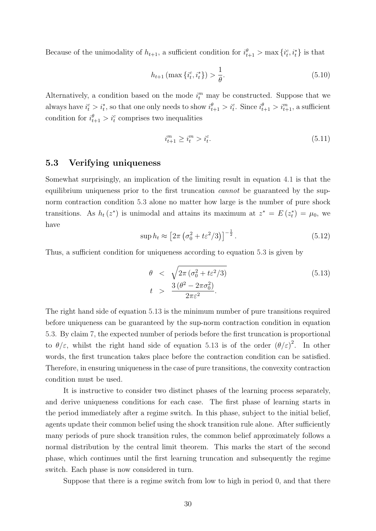Because of the unimodality of  $h_{t+1}$ , a sufficient condition for  $i_{t+1}^{\theta} > \max\{i_t^c, i_t^*\}$  is that

$$
h_{t+1}(\max\{i_t^c, i_t^*\}) > \frac{1}{\theta}.\tag{5.10}
$$

Alternatively, a condition based on the mode  $i_t^m$  may be constructed. Suppose that we always have  $i_t^c > i_t^*$ , so that one only needs to show  $i_{t+1}^{\theta} > i_t^c$ . Since  $i_{t+1}^{\theta} > i_{t+1}^m$ , a sufficient condition for  $i_{t+1}^{\theta} > i_t^c$  comprises two inequalities

$$
i_{t+1}^m \ge i_t^m > i_t^c. \tag{5.11}
$$

#### 5.3 Verifying uniqueness

Somewhat surprisingly, an implication of the limiting result in equation 4.1 is that the equilibrium uniqueness prior to the first truncation *cannot* be guaranteed by the supnorm contraction condition 5.3 alone no matter how large is the number of pure shock transitions. As  $h_t(z^*)$  is unimodal and attains its maximum at  $z^* = E(z_t^*) = \mu_0$ , we have

$$
\sup h_t \approx \left[2\pi \left(\sigma_0^2 + t \varepsilon^2 / 3\right)\right]^{-\frac{1}{2}}.\tag{5.12}
$$

Thus, a sufficient condition for uniqueness according to equation 5.3 is given by

$$
\theta < \sqrt{2\pi \left(\sigma_0^2 + t\varepsilon^2/3\right)} \\
t > \frac{3\left(\theta^2 - 2\pi\sigma_0^2\right)}{2\pi\varepsilon^2}.
$$
\n
$$
(5.13)
$$

The right hand side of equation 5.13 is the minimum number of pure transitions required before uniqueness can be guaranteed by the sup-norm contraction condition in equation 5.3. By claim 7, the expected number of periods before the first truncation is proportional to  $\theta/\varepsilon$ , whilst the right hand side of equation 5.13 is of the order  $(\theta/\varepsilon)^2$ . In other words, the first truncation takes place before the contraction condition can be satisfied. Therefore, in ensuring uniqueness in the case of pure transitions, the convexity contraction condition must be used.

It is instructive to consider two distinct phases of the learning process separately, and derive uniqueness conditions for each case. The first phase of learning starts in the period immediately after a regime switch. In this phase, subject to the initial belief, agents update their common belief using the shock transition rule alone. After sufficiently many periods of pure shock transition rules, the common belief approximately follows a normal distribution by the central limit theorem. This marks the start of the second phase, which continues until the first learning truncation and subsequently the regime switch. Each phase is now considered in turn.

Suppose that there is a regime switch from low to high in period 0, and that there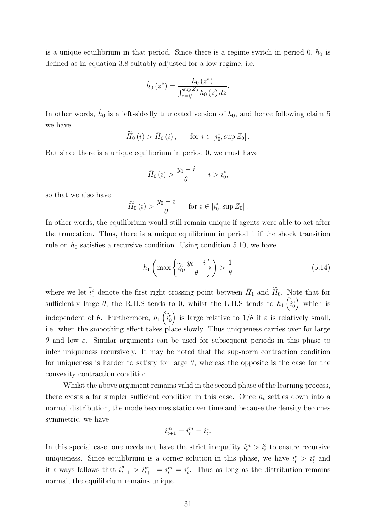is a unique equilibrium in that period. Since there is a regime switch in period 0,  $\tilde{h}_0$  is defined as in equation 3.8 suitably adjusted for a low regime, i.e.

$$
\tilde{h}_0(z^*) = \frac{h_0(z^*)}{\int_{z=i_0^*}^{\sup Z_0} h_0(z) dz}.
$$

In other words,  $\tilde{h}_0$  is a left-sidedly truncated version of  $h_0$ , and hence following claim 5 we have

$$
\widetilde{H}_0(i) > \bar{H}_0(i), \quad \text{for } i \in [i_0^*, \sup Z_0].
$$

But since there is a unique equilibrium in period 0, we must have

$$
\bar{H}_0(i) > \frac{y_0 - i}{\theta} \qquad i > i_0^*,
$$

so that we also have

$$
\widetilde{H}_0(i) > \frac{y_0 - i}{\theta} \quad \text{for } i \in [i_0^*, \sup Z_0].
$$

In other words, the equilibrium would still remain unique if agents were able to act after the truncation. Thus, there is a unique equilibrium in period 1 if the shock transition rule on  $\tilde{h}_0$  satisfies a recursive condition. Using condition 5.10, we have

$$
h_1\left(\max\left\{\tilde{i}_0^c, \frac{y_0 - i}{\theta}\right\}\right) > \frac{1}{\theta} \tag{5.14}
$$

where we let  $\tilde{i}_0^c$  denote the first right crossing point between  $\bar{H}_1$  and  $\tilde{H}_0$ . Note that for sufficiently large  $\theta$ , the R.H.S tends to 0, whilst the L.H.S tends to  $h_1\left(\tilde{i}_0^c\right)$  which is independent of  $\theta$ . Furthermore,  $h_1\left(\tilde{i}_0^c\right)$ ) is large relative to  $1/\theta$  if  $\varepsilon$  is relatively small, i.e. when the smoothing effect takes place slowly. Thus uniqueness carries over for large θ and low ε. Similar arguments can be used for subsequent periods in this phase to infer uniqueness recursively. It may be noted that the sup-norm contraction condition for uniqueness is harder to satisfy for large  $\theta$ , whereas the opposite is the case for the convexity contraction condition.

Whilst the above argument remains valid in the second phase of the learning process, there exists a far simpler sufficient condition in this case. Once  $h_t$  settles down into a normal distribution, the mode becomes static over time and because the density becomes symmetric, we have

$$
i_{t+1}^m = i_t^m = i_t^c.
$$

In this special case, one needs not have the strict inequality  $i_t^m > i_t^c$  to ensure recursive uniqueness. Since equilibrium is a corner solution in this phase, we have  $i_t^c > i_t^*$  and it always follows that  $i_{t+1}^{\theta} > i_{t+1}^m = i_t^m = i_t^c$ . Thus as long as the distribution remains normal, the equilibrium remains unique.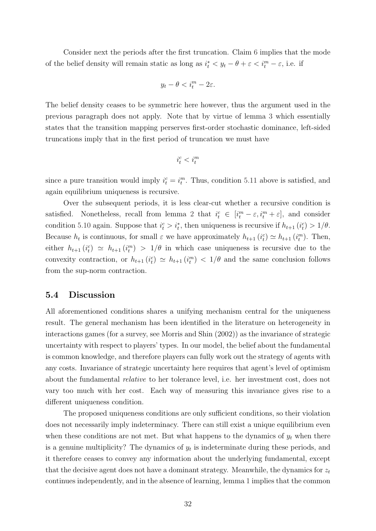Consider next the periods after the first truncation. Claim 6 implies that the mode of the belief density will remain static as long as  $i_t^* < y_t - \theta + \varepsilon < i_t^m - \varepsilon$ , i.e. if

$$
y_t - \theta < i_t^m - 2\varepsilon.
$$

The belief density ceases to be symmetric here however, thus the argument used in the previous paragraph does not apply. Note that by virtue of lemma 3 which essentially states that the transition mapping perserves first-order stochastic dominance, left-sided truncations imply that in the first period of truncation we must have

$$
i_t^c
$$

since a pure transition would imply  $i_t^c = i_t^m$ . Thus, condition 5.11 above is satisfied, and again equilibrium uniqueness is recursive.

Over the subsequent periods, it is less clear-cut whether a recursive condition is satisfied. Nonetheless, recall from lemma 2 that  $i_t^c \in [i_t^m - \varepsilon, i_t^m + \varepsilon]$ , and consider condition 5.10 again. Suppose that  $i_t^c > i_t^*$ , then uniqueness is recursive if  $h_{t+1}$   $(i_t^c) > 1/\theta$ . Because  $h_t$  is continuous, for small  $\varepsilon$  we have approximately  $h_{t+1}$   $(i_t^c) \simeq h_{t+1}$   $(i_t^m)$ . Then, either  $h_{t+1}(i_t^c) \simeq h_{t+1}(i_t^m) > 1/\theta$  in which case uniqueness is recursive due to the convexity contraction, or  $h_{t+1}(i_t^c) \simeq h_{t+1}(i_t^m) < 1/\theta$  and the same conclusion follows from the sup-norm contraction.

#### 5.4 Discussion

All aforementioned conditions shares a unifying mechanism central for the uniqueness result. The general mechanism has been identified in the literature on heterogeneity in interactions games (for a survey, see Morris and Shin (2002)) as the invariance of strategic uncertainty with respect to players' types. In our model, the belief about the fundamental is common knowledge, and therefore players can fully work out the strategy of agents with any costs. Invariance of strategic uncertainty here requires that agent's level of optimism about the fundamental relative to her tolerance level, i.e. her investment cost, does not vary too much with her cost. Each way of measuring this invariance gives rise to a different uniqueness condition.

The proposed uniqueness conditions are only sufficient conditions, so their violation does not necessarily imply indeterminacy. There can still exist a unique equilibrium even when these conditions are not met. But what happens to the dynamics of  $y_t$  when there is a genuine multiplicity? The dynamics of  $y_t$  is indeterminate during these periods, and it therefore ceases to convey any information about the underlying fundamental, except that the decisive agent does not have a dominant strategy. Meanwhile, the dynamics for  $z_t$ continues independently, and in the absence of learning, lemma 1 implies that the common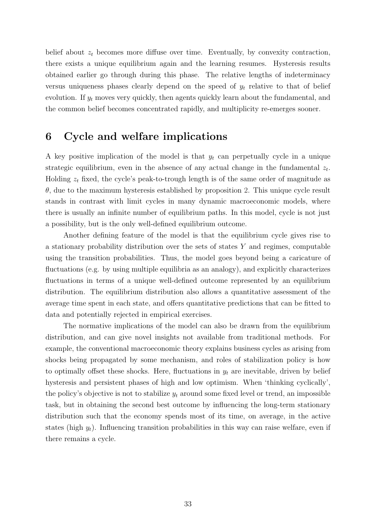belief about  $z_t$  becomes more diffuse over time. Eventually, by convexity contraction, there exists a unique equilibrium again and the learning resumes. Hysteresis results obtained earlier go through during this phase. The relative lengths of indeterminacy versus uniqueness phases clearly depend on the speed of  $y_t$  relative to that of belief evolution. If  $y_t$  moves very quickly, then agents quickly learn about the fundamental, and the common belief becomes concentrated rapidly, and multiplicity re-emerges sooner.

# 6 Cycle and welfare implications

A key positive implication of the model is that  $y_t$  can perpetually cycle in a unique strategic equilibrium, even in the absence of any actual change in the fundamental  $z_t$ . Holding  $z_t$  fixed, the cycle's peak-to-trough length is of the same order of magnitude as  $\theta$ , due to the maximum hysteresis established by proposition 2. This unique cycle result stands in contrast with limit cycles in many dynamic macroeconomic models, where there is usually an infinite number of equilibrium paths. In this model, cycle is not just a possibility, but is the only well-defined equilibrium outcome.

Another defining feature of the model is that the equilibrium cycle gives rise to a stationary probability distribution over the sets of states  $Y$  and regimes, computable using the transition probabilities. Thus, the model goes beyond being a caricature of fluctuations (e.g. by using multiple equilibria as an analogy), and explicitly characterizes fluctuations in terms of a unique well-defined outcome represented by an equilibrium distribution. The equilibrium distribution also allows a quantitative assessment of the average time spent in each state, and offers quantitative predictions that can be fitted to data and potentially rejected in empirical exercises.

The normative implications of the model can also be drawn from the equilibrium distribution, and can give novel insights not available from traditional methods. For example, the conventional macroeconomic theory explains business cycles as arising from shocks being propagated by some mechanism, and roles of stabilization policy is how to optimally offset these shocks. Here, fluctuations in  $y_t$  are inevitable, driven by belief hysteresis and persistent phases of high and low optimism. When 'thinking cyclically', the policy's objective is not to stabilize  $y_t$  around some fixed level or trend, an impossible task, but in obtaining the second best outcome by influencing the long-term stationary distribution such that the economy spends most of its time, on average, in the active states (high  $y_t$ ). Influencing transition probabilities in this way can raise welfare, even if there remains a cycle.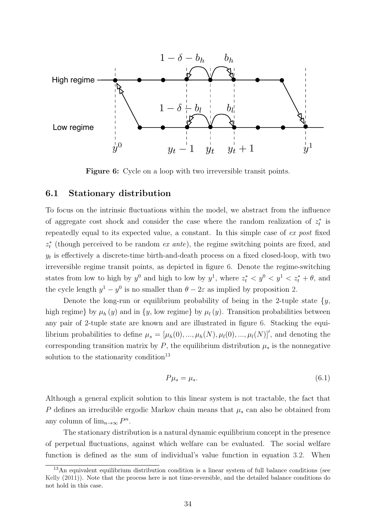

Figure 6: Cycle on a loop with two irreversible transit points.

#### 6.1 Stationary distribution

To focus on the intrinsic fluctuations within the model, we abstract from the influence of aggregate cost shock and consider the case where the random realization of  $z_t^*$  is repeatedly equal to its expected value, a constant. In this simple case of ex post fixed  $z_t^*$  (though perceived to be random ex ante), the regime switching points are fixed, and  $y_t$  is effectively a discrete-time birth-and-death process on a fixed closed-loop, with two irreversible regime transit points, as depicted in figure 6. Denote the regime-switching states from low to high by  $y^0$  and high to low by  $y^1$ , where  $z_t^* < y^0 < y^1 < z_t^* + \theta$ , and the cycle length  $y^1 - y^0$  is no smaller than  $\theta - 2\varepsilon$  as implied by proposition 2.

Denote the long-run or equilibrium probability of being in the 2-tuple state  $\{y,$ high regime} by  $\mu_h(y)$  and in  $\{y, \text{ low regime}\}\$  by  $\mu_l(y)$ . Transition probabilities between any pair of 2-tuple state are known and are illustrated in figure 6. Stacking the equilibrium probabilities to define  $\mu_s = [\mu_h(0), ..., \mu_h(N), \mu_l(0), ..., \mu_l(N)]'$ , and denoting the corresponding transition matrix by  $P$ , the equilibrium distribution  $\mu_s$  is the nonnegative solution to the stationarity condition<sup>13</sup>

$$
P\mu_s = \mu_s. \tag{6.1}
$$

Although a general explicit solution to this linear system is not tractable, the fact that P defines an irreducible ergodic Markov chain means that  $\mu_s$  can also be obtained from any column of  $\lim_{n\to\infty} P^n$ .

The stationary distribution is a natural dynamic equilibrium concept in the presence of perpetual fluctuations, against which welfare can be evaluated. The social welfare function is defined as the sum of individual's value function in equation 3.2. When

<sup>&</sup>lt;sup>13</sup>An equivalent equilibrium distribution condition is a linear system of full balance conditions (see Kelly (2011)). Note that the process here is not time-reversible, and the detailed balance conditions do not hold in this case.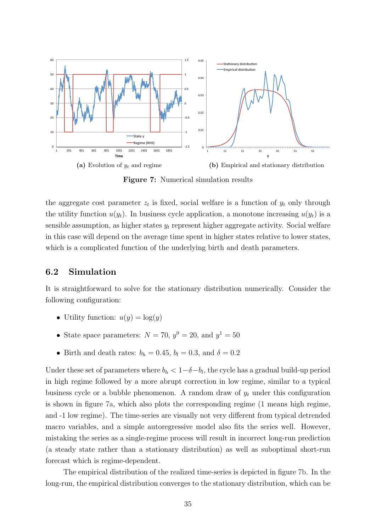

Figure 7: Numerical simulation results

the aggregate cost parameter  $z_t$  is fixed, social welfare is a function of  $y_t$  only through the utility function  $u(y_t)$ . In business cycle application, a monotone increasing  $u(y_t)$  is a sensible assumption, as higher states  $y_t$  represent higher aggregate activity. Social welfare in this case will depend on the average time spent in higher states relative to lower states, which is a complicated function of the underlying birth and death parameters.

#### 6.2 Simulation

It is straightforward to solve for the stationary distribution numerically. Consider the following configuration:

- Utility function:  $u(y) = \log(y)$
- State space parameters:  $N = 70$ ,  $y^0 = 20$ , and  $y^1 = 50$
- Birth and death rates:  $b_h = 0.45$ ,  $b_l = 0.3$ , and  $\delta = 0.2$

Under these set of parameters where  $b_h < 1 - \delta - b_l$ , the cycle has a gradual build-up period in high regime followed by a more abrupt correction in low regime, similar to a typical business cycle or a bubble phenomenon. A random draw of  $y_t$  under this configuration is shown in figure 7a, which also plots the corresponding regime (1 means high regime, and -1 low regime). The time-series are visually not very different from typical detrended macro variables, and a simple autoregressive model also fits the series well. However, mistaking the series as a single-regime process will result in incorrect long-run prediction (a steady state rather than a stationary distribution) as well as suboptimal short-run forecast which is regime-dependent.

The empirical distribution of the realized time-series is depicted in figure 7b. In the long-run, the empirical distribution converges to the stationary distribution, which can be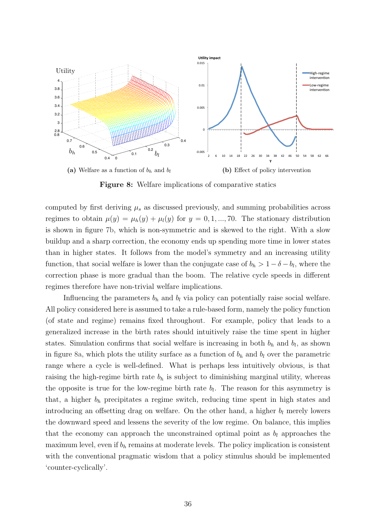

Figure 8: Welfare implications of comparative statics

computed by first deriving  $\mu_s$  as discussed previously, and summing probabilities across regimes to obtain  $\mu(y) = \mu_h(y) + \mu_l(y)$  for  $y = 0, 1, ..., 70$ . The stationary distribution is shown in figure 7b, which is non-symmetric and is skewed to the right. With a slow buildup and a sharp correction, the economy ends up spending more time in lower states than in higher states. It follows from the model's symmetry and an increasing utility function, that social welfare is lower than the conjugate case of  $b_h > 1 - \delta - b_l$ , where the correction phase is more gradual than the boom. The relative cycle speeds in different regimes therefore have non-trivial welfare implications.

Influencing the parameters  $b_h$  and  $b_l$  via policy can potentially raise social welfare. All policy considered here is assumed to take a rule-based form, namely the policy function (of state and regime) remains fixed throughout. For example, policy that leads to a generalized increase in the birth rates should intuitively raise the time spent in higher states. Simulation confirms that social welfare is increasing in both  $b_h$  and  $b_l$ , as shown in figure 8a, which plots the utility surface as a function of  $b<sub>h</sub>$  and  $b<sub>l</sub>$  over the parametric range where a cycle is well-defined. What is perhaps less intuitively obvious, is that raising the high-regime birth rate  $b<sub>h</sub>$  is subject to diminishing marginal utility, whereas the opposite is true for the low-regime birth rate  $b_l$ . The reason for this asymmetry is that, a higher  $b_h$  precipitates a regime switch, reducing time spent in high states and introducing an offsetting drag on welfare. On the other hand, a higher  $b_l$  merely lowers the downward speed and lessens the severity of the low regime. On balance, this implies that the economy can approach the unconstrained optimal point as  $b_l$  approaches the maximum level, even if  $b_h$  remains at moderate levels. The policy implication is consistent with the conventional pragmatic wisdom that a policy stimulus should be implemented 'counter-cyclically'.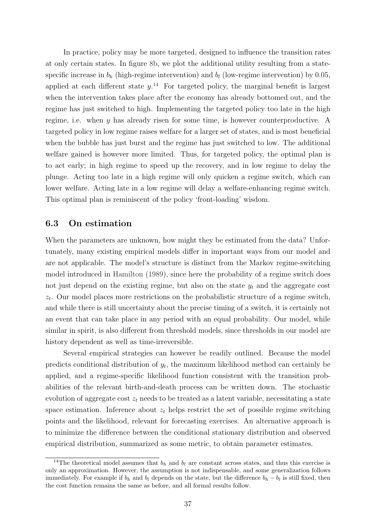In practice, policy may be more targeted, designed to influence the transition rates at only certain states. In figure 8b, we plot the additional utility resulting from a statespecific increase in  $b_h$  (high-regime intervention) and  $b_l$  (low-regime intervention) by 0.05, applied at each different state  $y^{14}$ . For targeted policy, the marginal benefit is largest when the intervention takes place after the economy has already bottomed out, and the regime has just switched to high. Implementing the targeted policy too late in the high regime, i.e. when y has already risen for some time, is however counterproductive. A targeted policy in low regime raises welfare for a larger set of states, and is most beneficial when the bubble has just burst and the regime has just switched to low. The additional welfare gained is however more limited. Thus, for targeted policy, the optimal plan is to act early; in high regime to speed up the recovery, and in low regime to delay the plunge. Acting too late in a high regime will only quicken a regime switch, which can lower welfare. Acting late in a low regime will delay a welfare-enhancing regime switch. This optimal plan is reminiscent of the policy 'front-loading' wisdom.

#### 6.3 On estimation

When the parameters are unknown, how might they be estimated from the data? Unfortunately, many existing empirical models differ in important ways from our model and are not applicable. The model's structure is distinct from the Markov regime-switching model introduced in Hamilton (1989), since here the probability of a regime switch does not just depend on the existing regime, but also on the state  $y_t$  and the aggregate cost  $z_t$ . Our model places more restrictions on the probabilistic structure of a regime switch, and while there is still uncertainty about the precise timing of a switch, it is certainly not an event that can take place in any period with an equal probability. Our model, while similar in spirit, is also different from threshold models, since thresholds in our model are history dependent as well as time-irreversible.

Several empirical strategies can however be readily outlined. Because the model predicts conditional distribution of  $y_t$ , the maximum likelihood method can certainly be applied, and a regime-specific likelihood function consistent with the transition probabilities of the relevant birth-and-death process can be written down. The stochastic evolution of aggregate cost  $z_t$  needs to be treated as a latent variable, necessitating a state space estimation. Inference about  $z_t$  helps restrict the set of possible regime switching points and the likelihood, relevant for forecasting exercises. An alternative approach is to minimize the difference between the conditional stationary distribution and observed empirical distribution, summarized as some metric, to obtain parameter estimates.

<sup>&</sup>lt;sup>14</sup>The theoretical model assumes that  $b_h$  and  $b_l$  are constant across states, and thus this exercise is only an approximation. However, the assumption is not indispensable, and some generalization follows immediately. For example if  $b_h$  and  $b_l$  depends on the state, but the difference  $b_h - b_l$  is still fixed, then the cost function remains the same as before, and all formal results follow.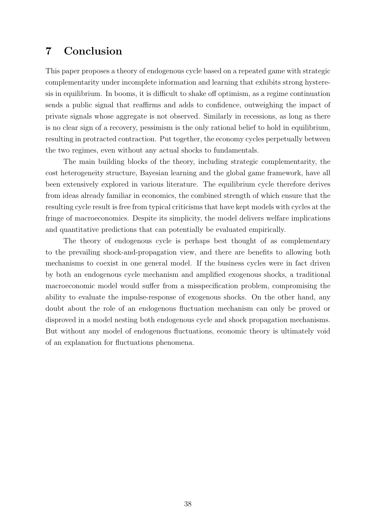# 7 Conclusion

This paper proposes a theory of endogenous cycle based on a repeated game with strategic complementarity under incomplete information and learning that exhibits strong hysteresis in equilibrium. In booms, it is difficult to shake off optimism, as a regime continuation sends a public signal that reaffirms and adds to confidence, outweighing the impact of private signals whose aggregate is not observed. Similarly in recessions, as long as there is no clear sign of a recovery, pessimism is the only rational belief to hold in equilibrium, resulting in protracted contraction. Put together, the economy cycles perpetually between the two regimes, even without any actual shocks to fundamentals.

The main building blocks of the theory, including strategic complementarity, the cost heterogeneity structure, Bayesian learning and the global game framework, have all been extensively explored in various literature. The equilibrium cycle therefore derives from ideas already familiar in economics, the combined strength of which ensure that the resulting cycle result is free from typical criticisms that have kept models with cycles at the fringe of macroeconomics. Despite its simplicity, the model delivers welfare implications and quantitative predictions that can potentially be evaluated empirically.

The theory of endogenous cycle is perhaps best thought of as complementary to the prevailing shock-and-propagation view, and there are benefits to allowing both mechanisms to coexist in one general model. If the business cycles were in fact driven by both an endogenous cycle mechanism and amplified exogenous shocks, a traditional macroeconomic model would suffer from a misspecification problem, compromising the ability to evaluate the impulse-response of exogenous shocks. On the other hand, any doubt about the role of an endogenous fluctuation mechanism can only be proved or disproved in a model nesting both endogenous cycle and shock propagation mechanisms. But without any model of endogenous fluctuations, economic theory is ultimately void of an explanation for fluctuations phenomena.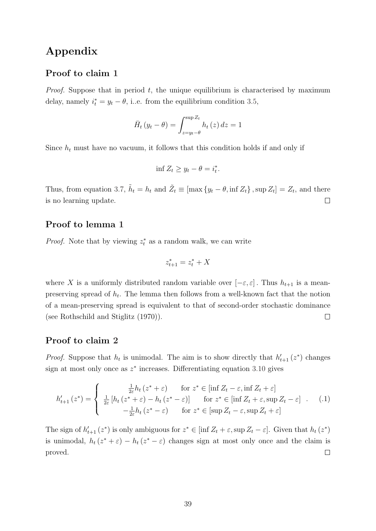# Appendix

### Proof to claim 1

*Proof.* Suppose that in period  $t$ , the unique equilibrium is characterised by maximum delay, namely  $i_t^* = y_t - \theta$ , i.e. from the equilibrium condition 3.5,

$$
\bar{H}_t(y_t - \theta) = \int_{z=y_t - \theta}^{\sup Z_t} h_t(z) dz = 1
$$

Since  $h_t$  must have no vacuum, it follows that this condition holds if and only if

$$
\inf Z_t \ge y_t - \theta = i_t^*.
$$

Thus, from equation 3.7,  $\tilde{h}_t = h_t$  and  $\tilde{Z}_t \equiv [\max\{y_t - \theta, \inf Z_t\}, \sup Z_t] = Z_t$ , and there is no learning update.  $\Box$ 

### Proof to lemma 1

*Proof.* Note that by viewing  $z_t^*$  as a random walk, we can write

$$
z_{t+1}^* = z_t^* + X
$$

where X is a uniformly distributed random variable over  $[-\varepsilon, \varepsilon]$ . Thus  $h_{t+1}$  is a meanpreserving spread of  $h_t$ . The lemma then follows from a well-known fact that the notion of a mean-preserving spread is equivalent to that of second-order stochastic dominance (see Rothschild and Stiglitz (1970)).  $\Box$ 

### Proof to claim 2

*Proof.* Suppose that  $h_t$  is unimodal. The aim is to show directly that  $h'_{t+1}(z^*)$  changes sign at most only once as  $z^*$  increases. Differentiating equation 3.10 gives

$$
h'_{t+1}(z^*) = \begin{cases} \frac{1}{2\varepsilon}h_t(z^* + \varepsilon) & \text{for } z^* \in [\inf Z_t - \varepsilon, \inf Z_t + \varepsilon] \\ \frac{1}{2\varepsilon}[h_t(z^* + \varepsilon) - h_t(z^* - \varepsilon)] & \text{for } z^* \in [\inf Z_t + \varepsilon, \sup Z_t - \varepsilon] \\ -\frac{1}{2\varepsilon}h_t(z^* - \varepsilon) & \text{for } z^* \in [\sup Z_t - \varepsilon, \sup Z_t + \varepsilon] \end{cases} \tag{1}
$$

The sign of  $h'_{t+1}(z^*)$  is only ambiguous for  $z^* \in [\inf Z_t + \varepsilon, \sup Z_t - \varepsilon]$ . Given that  $h_t(z^*)$ is unimodal,  $h_t(z^* + \varepsilon) - h_t(z^* - \varepsilon)$  changes sign at most only once and the claim is proved.  $\Box$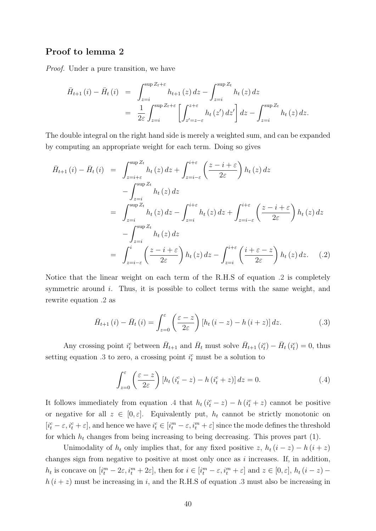### Proof to lemma 2

Proof. Under a pure transition, we have

$$
\bar{H}_{t+1}(i) - \bar{H}_t(i) = \int_{z=i}^{\sup Z_t + \varepsilon} h_{t+1}(z) dz - \int_{z=i}^{\sup Z_t} h_t(z) dz
$$
  
\n
$$
= \frac{1}{2\varepsilon} \int_{z=i}^{\sup Z_t + \varepsilon} \left[ \int_{z'=z-\varepsilon}^{z+\varepsilon} h_t(z') dz' \right] dz - \int_{z=i}^{\sup Z_t} h_t(z) dz.
$$

The double integral on the right hand side is merely a weighted sum, and can be expanded by computing an appropriate weight for each term. Doing so gives

$$
\bar{H}_{t+1}(i) - \bar{H}_t(i) = \int_{z=i+\varepsilon}^{\sup Z_t} h_t(z) dz + \int_{z=i-\varepsilon}^{i+\varepsilon} \left(\frac{z-i+\varepsilon}{2\varepsilon}\right) h_t(z) dz
$$
\n
$$
- \int_{z=i}^{\sup Z_t} h_t(z) dz
$$
\n
$$
= \int_{z=i}^{\sup Z_t} h_t(z) dz - \int_{z=i}^{i+\varepsilon} h_t(z) dz + \int_{z=i-\varepsilon}^{i+\varepsilon} \left(\frac{z-i+\varepsilon}{2\varepsilon}\right) h_t(z) dz
$$
\n
$$
- \int_{z=i}^{\sup Z_t} h_t(z) dz
$$
\n
$$
= \int_{z=i-\varepsilon}^{i} \left(\frac{z-i+\varepsilon}{2\varepsilon}\right) h_t(z) dz - \int_{z=i}^{i+\varepsilon} \left(\frac{i+\varepsilon-z}{2\varepsilon}\right) h_t(z) dz. \quad (.2)
$$

Notice that the linear weight on each term of the R.H.S of equation .2 is completely symmetric around i. Thus, it is possible to collect terms with the same weight, and rewrite equation .2 as

$$
\bar{H}_{t+1}(i) - \bar{H}_t(i) = \int_{z=0}^{\varepsilon} \left( \frac{\varepsilon - z}{2\varepsilon} \right) \left[ h_t(i-z) - h(i+z) \right] dz.
$$
 (.3)

Any crossing point  $i_t^c$  between  $\bar{H}_{t+1}$  and  $\bar{H}_t$  must solve  $\bar{H}_{t+1}$   $(i_t^c) - \bar{H}_t$   $(i_t^c) = 0$ , thus setting equation .3 to zero, a crossing point  $i_t^c$  must be a solution to

$$
\int_{z=0}^{\varepsilon} \left( \frac{\varepsilon - z}{2\varepsilon} \right) \left[ h_t \left( i_t^c - z \right) - h \left( i_t^c + z \right) \right] dz = 0. \tag{4}
$$

It follows immediately from equation .4 that  $h_t(i_t^c - z) - h(i_t^c + z)$  cannot be positive or negative for all  $z \in [0, \varepsilon]$ . Equivalently put,  $h_t$  cannot be strictly monotonic on  $[i_t^c - \varepsilon, i_t^c + \varepsilon]$ , and hence we have  $i_t^c \in [i_t^m - \varepsilon, i_t^m + \varepsilon]$  since the mode defines the threshold for which  $h_t$  changes from being increasing to being decreasing. This proves part (1).

Unimodality of  $h_t$  only implies that, for any fixed positive z,  $h_t$  (i – z) – h (i + z) changes sign from negative to positive at most only once as  $i$  increases. If, in addition,  $h_t$  is concave on  $[i_t^m - 2\varepsilon, i_t^m + 2\varepsilon]$ , then for  $i \in [i_t^m - \varepsilon, i_t^m + \varepsilon]$  and  $z \in [0, \varepsilon]$ ,  $h_t$   $(i - z)$  –  $h(i + z)$  must be increasing in i, and the R.H.S of equation .3 must also be increasing in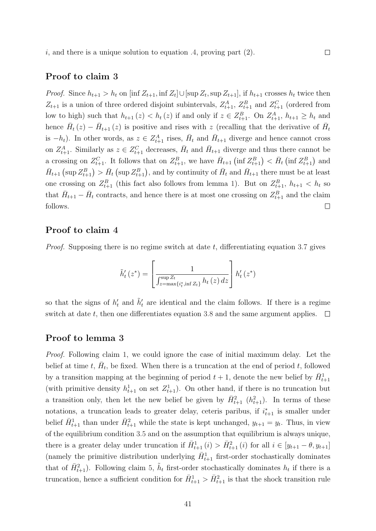i, and there is a unique solution to equation .4, proving part  $(2)$ .

#### Proof to claim 3

*Proof.* Since  $h_{t+1} > h_t$  on  $[\inf Z_{t+1}, \inf Z_t] \cup [\sup Z_t, \sup Z_{t+1}]$ , if  $h_{t+1}$  crosses  $h_t$  twice then  $Z_{t+1}$  is a union of three ordered disjoint subintervals,  $Z_{t+1}^A$ ,  $Z_{t+1}^B$  and  $Z_{t+1}^C$  (ordered from low to high) such that  $h_{t+1}(z) < h_t(z)$  if and only if  $z \in Z_{t+1}^B$ . On  $Z_{t+1}^A$ ,  $h_{t+1} \geq h_t$  and hence  $\bar{H}_t(z) - \bar{H}_{t+1}(z)$  is positive and rises with z (recalling that the derivative of  $\bar{H}_t$ is  $-h_t$ ). In other words, as  $z \in Z_{t+1}^A$  rises,  $\bar{H}_t$  and  $\bar{H}_{t+1}$  diverge and hence cannot cross on  $Z_{t+1}^A$ . Similarly as  $z \in Z_{t+1}^C$  decreases,  $\bar{H}_t$  and  $\bar{H}_{t+1}$  diverge and thus there cannot be a crossing on  $Z_{t+1}^C$ . It follows that on  $Z_{t+1}^B$ , we have  $\bar{H}_{t+1}$  (inf  $Z_{t+1}^B$ )  $\langle \bar{H}_t$  (inf  $Z_{t+1}^B$ ) and  $\bar{H}_{t+1}(\sup Z_{t+1}^B) > \bar{H}_t(\sup Z_{t+1}^B)$ , and by continuity of  $\bar{H}_t$  and  $\bar{H}_{t+1}$  there must be at least one crossing on  $Z_{t+1}^B$  (this fact also follows from lemma 1). But on  $Z_{t+1}^B$ ,  $h_{t+1} < h_t$  so that  $\bar{H}_{t+1} - \bar{H}_t$  contracts, and hence there is at most one crossing on  $Z_{t+1}^B$  and the claim follows.  $\Box$ 

 $\Box$ 

#### Proof to claim 4

*Proof.* Supposing there is no regime switch at date  $t$ , differentiating equation 3.7 gives

$$
\tilde{h}'_t(z^*) = \left[\frac{1}{\int_{z=\max\{i_t^*, \inf Z_t\}}^{\sup Z_t} h_t(z) dz}\right] h'_t(z^*)
$$

so that the signs of  $h'_t$  and  $\tilde{h}'_t$  are identical and the claim follows. If there is a regime switch at date t, then one differentiates equation 3.8 and the same argument applies.  $\Box$ 

#### Proof to lemma 3

Proof. Following claim 1, we could ignore the case of initial maximum delay. Let the belief at time t,  $\bar{H}_t$ , be fixed. When there is a truncation at the end of period t, followed by a transition mapping at the beginning of period  $t + 1$ , denote the new belief by  $\bar{H}_{t+1}^1$ (with primitive density  $h_{t+1}^1$  on set  $Z_{t+1}^1$ ). On other hand, if there is no truncation but a transition only, then let the new belief be given by  $\bar{H}_{t+1}^2$   $(h_{t+1}^2)$ . In terms of these notations, a truncation leads to greater delay, ceteris paribus, if  $i_{t+1}^*$  is smaller under belief  $\bar{H}_{t+1}^1$  than under  $\bar{H}_{t+1}^2$  while the state is kept unchanged,  $y_{t+1} = y_t$ . Thus, in view of the equilibrium condition 3.5 and on the assumption that equilibrium is always unique, there is a greater delay under truncation if  $\bar{H}_{t+1}^1(i) > \bar{H}_{t+1}^2(i)$  for all  $i \in [y_{t+1} - \theta, y_{t+1}]$ (namely the primitive distribution underlying  $\bar{H}_{t+1}^1$  first-order stochastically dominates that of  $\bar{H}_{t+1}^2$ ). Following claim 5,  $\tilde{h}_t$  first-order stochastically dominates  $h_t$  if there is a truncation, hence a sufficient condition for  $\bar{H}_{t+1}^1 > \bar{H}_{t+1}^2$  is that the shock transition rule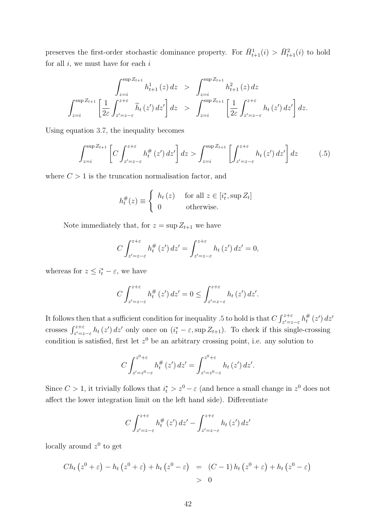preserves the first-order stochastic dominance property. For  $\bar{H}_{t+1}^1(i) > \bar{H}_{t+1}^2(i)$  to hold for all  $i$ , we must have for each  $i$ 

$$
\int_{z=i}^{\sup Z_{t+1}} h_{t+1}^1(z) dz > \int_{z=i}^{\sup Z_{t+1}} h_{t+1}^2(z) dz
$$
  

$$
\int_{z=i}^{\sup Z_{t+1}} \left[ \frac{1}{2\varepsilon} \int_{z'=z-\varepsilon}^{z+\varepsilon} \tilde{h}_t(z') dz' \right] dz > \int_{z=i}^{\sup Z_{t+1}} \left[ \frac{1}{2\varepsilon} \int_{z'=z-\varepsilon}^{z+\varepsilon} h_t(z') dz' \right] dz.
$$

Using equation 3.7, the inequality becomes

$$
\int_{z=i}^{\sup Z_{t+1}} \left[ C \int_{z'=z-\varepsilon}^{z+\varepsilon} h_t^{\#}(z') \, dz' \right] dz > \int_{z=i}^{\sup Z_{t+1}} \left[ \int_{z'=z-\varepsilon}^{z+\varepsilon} h_t(z') \, dz' \right] dz \tag{.5}
$$

where  $C > 1$  is the truncation normalisation factor, and

$$
h_t^{\#}(z) \equiv \begin{cases} h_t(z) & \text{for all } z \in [i_t^*, \sup Z_t] \\ 0 & \text{otherwise.} \end{cases}
$$

Note immediately that, for  $z = \sup Z_{t+1}$  we have

$$
C \int_{z'=z-\varepsilon}^{z+\varepsilon} h_t^{\#}(z') dz' = \int_{z'=z-\varepsilon}^{z+\varepsilon} h_t(z') dz' = 0,
$$

whereas for  $z \leq i_t^* - \varepsilon$ , we have

$$
C\int_{z'=z-\varepsilon}^{z+\varepsilon} h_t^{\#}\left(z'\right)dz' = 0 \le \int_{z'=z-\varepsilon}^{z+\varepsilon} h_t\left(z'\right)dz'.
$$

It follows then that a sufficient condition for inequality .5 to hold is that  $C \int_{z'=z-\varepsilon}^{z+\varepsilon} h_t^{\#}$  $t^\#_t\left(z'\right)dz'$ crosses  $\int_{z'=z-\epsilon}^{z+\epsilon} h_t(z') dz'$  only once on  $(i_t^*-\epsilon, \sup Z_{t+1})$ . To check if this single-crossing condition is satisfied, first let  $z<sup>0</sup>$  be an arbitrary crossing point, i.e. any solution to

$$
C \int_{z'=z^{0}-\varepsilon}^{z^{0}+\varepsilon} h_{t}^{\#}\left(z'\right) dz' = \int_{z'=z^{0}-\varepsilon}^{z^{0}+\varepsilon} h_{t}\left(z'\right) dz'.
$$

Since  $C > 1$ , it trivially follows that  $i_t^* > z^0 - \varepsilon$  (and hence a small change in  $z^0$  does not affect the lower integration limit on the left hand side). Differentiate

$$
C\int_{z'=z-\varepsilon}^{z+\varepsilon} h_t^{\#}\left(z'\right)dz' - \int_{z'=z-\varepsilon}^{z+\varepsilon} h_t\left(z'\right)dz'
$$

locally around  $z^0$  to get

$$
Ch_t(z^0+\varepsilon)-h_t(z^0+\varepsilon)+h_t(z^0-\varepsilon) = (C-1)h_t(z^0+\varepsilon)+h_t(z^0-\varepsilon)
$$
  
> 0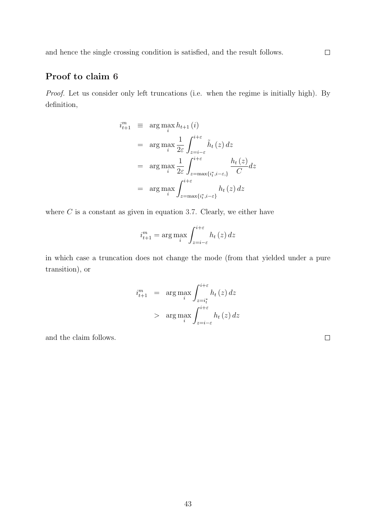### Proof to claim 6

Proof. Let us consider only left truncations (i.e. when the regime is initially high). By definition,

$$
i_{t+1}^{m} \equiv \arg \max_{i} h_{t+1}(i)
$$
  
\n
$$
= \arg \max_{i} \frac{1}{2\varepsilon} \int_{z=i-\varepsilon}^{i+\varepsilon} \tilde{h}_{t}(z) dz
$$
  
\n
$$
= \arg \max_{i} \frac{1}{2\varepsilon} \int_{z=\max\{i_{t}^{*}, i-\varepsilon\}}^{i+\varepsilon} \frac{h_{t}(z)}{C} dz
$$
  
\n
$$
= \arg \max_{i} \int_{z=\max\{i_{t}^{*}, i-\varepsilon\}}^{i+\varepsilon} h_{t}(z) dz
$$

where  $C$  is a constant as given in equation 3.7. Clearly, we either have

$$
i_{t+1}^{m} = \arg \max_{i} \int_{z=i-\varepsilon}^{i+\varepsilon} h_t(z) dz
$$

in which case a truncation does not change the mode (from that yielded under a pure transition), or

$$
i_{t+1}^{m} = \arg \max_{i} \int_{z=i_{t}^{*}}^{i+\varepsilon} h_{t}(z) dz
$$

$$
> \arg \max_{i} \int_{z=i-\varepsilon}^{i+\varepsilon} h_{t}(z) dz
$$

and the claim follows.

 $\Box$ 

 $\Box$